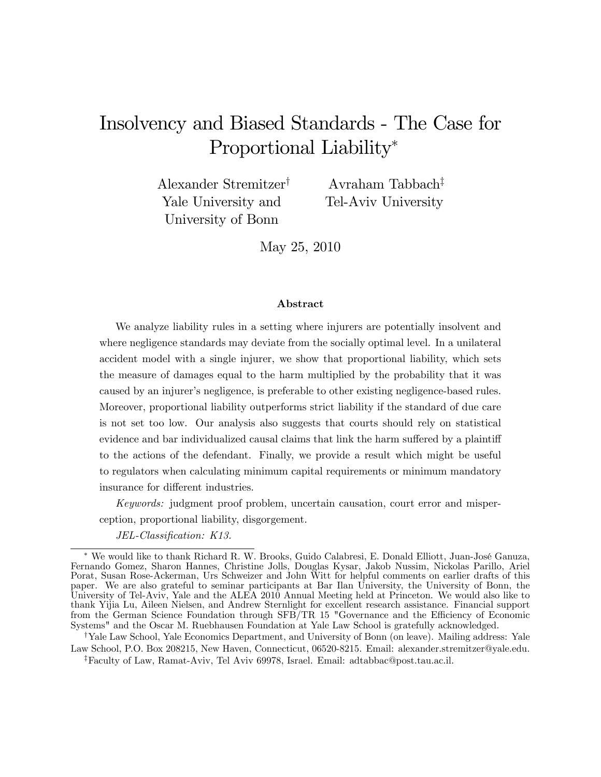# Insolvency and Biased Standards - The Case for Proportional Liability<sup>\*</sup>

Alexander Stremitzer<sup>†</sup> Yale University and University of Bonn

Avraham Tabbach<sup> $\ddagger$ </sup> Tel-Aviv University

May 25, 2010

#### Abstract

We analyze liability rules in a setting where injurers are potentially insolvent and where negligence standards may deviate from the socially optimal level. In a unilateral accident model with a single injurer, we show that proportional liability, which sets the measure of damages equal to the harm multiplied by the probability that it was caused by an injurer's negligence, is preferable to other existing negligence-based rules. Moreover, proportional liability outperforms strict liability if the standard of due care is not set too low. Our analysis also suggests that courts should rely on statistical evidence and bar individualized causal claims that link the harm suffered by a plaintiff to the actions of the defendant. Finally, we provide a result which might be useful to regulators when calculating minimum capital requirements or minimum mandatory insurance for different industries.

Keywords: judgment proof problem, uncertain causation, court error and misperception, proportional liability, disgorgement.

JEL-Classification: K13.

<sup>†</sup>Yale Law School, Yale Economics Department, and University of Bonn (on leave). Mailing address: Yale Law School, P.O. Box 208215, New Haven, Connecticut, 06520-8215. Email: alexander.stremitzer@yale.edu.

zFaculty of Law, Ramat-Aviv, Tel Aviv 69978, Israel. Email: adtabbac@post.tau.ac.il.

We would like to thank Richard R. W. Brooks, Guido Calabresi, E. Donald Elliott, Juan-JosÈ Ganuza, Fernando Gomez, Sharon Hannes, Christine Jolls, Douglas Kysar, Jakob Nussim, Nickolas Parillo, Ariel Porat, Susan Rose-Ackerman, Urs Schweizer and John Witt for helpful comments on earlier drafts of this paper. We are also grateful to seminar participants at Bar Ilan University, the University of Bonn, the University of Tel-Aviv, Yale and the ALEA 2010 Annual Meeting held at Princeton. We would also like to thank Yijia Lu, Aileen Nielsen, and Andrew Sternlight for excellent research assistance. Financial support from the German Science Foundation through SFB/TR 15 "Governance and the Efficiency of Economic Systems" and the Oscar M. Ruebhausen Foundation at Yale Law School is gratefully acknowledged.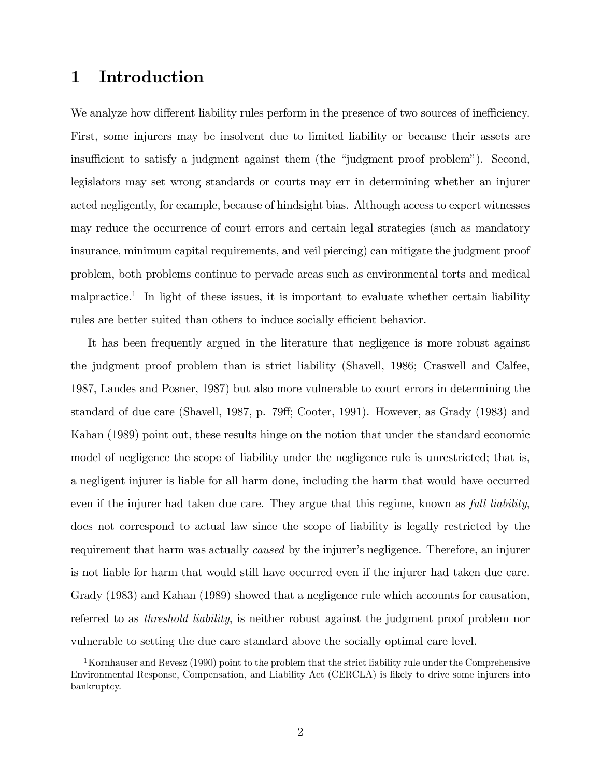# 1 Introduction

We analyze how different liability rules perform in the presence of two sources of inefficiency. First, some injurers may be insolvent due to limited liability or because their assets are insufficient to satisfy a judgment against them (the "judgment proof problem"). Second, legislators may set wrong standards or courts may err in determining whether an injurer acted negligently, for example, because of hindsight bias. Although access to expert witnesses may reduce the occurrence of court errors and certain legal strategies (such as mandatory insurance, minimum capital requirements, and veil piercing) can mitigate the judgment proof problem, both problems continue to pervade areas such as environmental torts and medical malpractice.<sup>1</sup> In light of these issues, it is important to evaluate whether certain liability rules are better suited than others to induce socially efficient behavior.

It has been frequently argued in the literature that negligence is more robust against the judgment proof problem than is strict liability (Shavell, 1986; Craswell and Calfee, 1987, Landes and Posner, 1987) but also more vulnerable to court errors in determining the standard of due care (Shavell, 1987, p. 79ff; Cooter, 1991). However, as Grady (1983) and Kahan (1989) point out, these results hinge on the notion that under the standard economic model of negligence the scope of liability under the negligence rule is unrestricted; that is, a negligent injurer is liable for all harm done, including the harm that would have occurred even if the injurer had taken due care. They argue that this regime, known as full liability, does not correspond to actual law since the scope of liability is legally restricted by the requirement that harm was actually *caused* by the injurer's negligence. Therefore, an injurer is not liable for harm that would still have occurred even if the injurer had taken due care. Grady (1983) and Kahan (1989) showed that a negligence rule which accounts for causation, referred to as threshold liability, is neither robust against the judgment proof problem nor vulnerable to setting the due care standard above the socially optimal care level.

<sup>&</sup>lt;sup>1</sup>Kornhauser and Revesz (1990) point to the problem that the strict liability rule under the Comprehensive Environmental Response, Compensation, and Liability Act (CERCLA) is likely to drive some injurers into bankruptcy.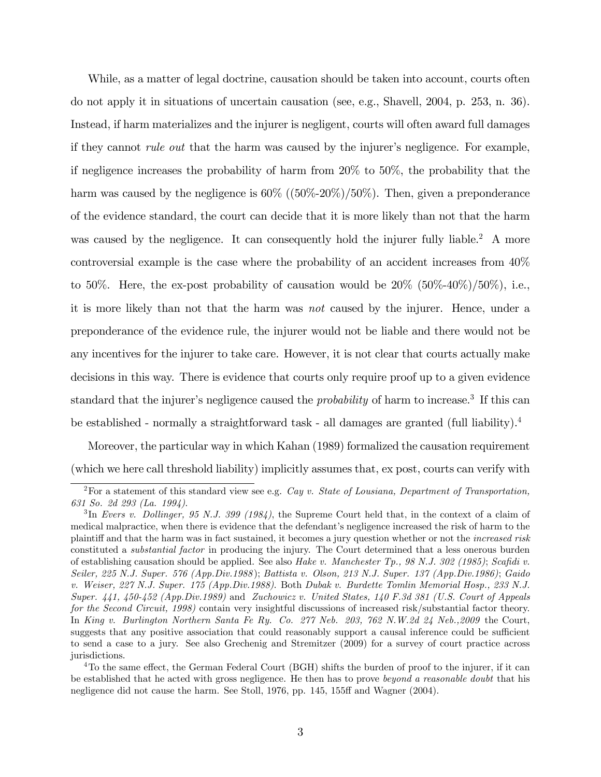While, as a matter of legal doctrine, causation should be taken into account, courts often do not apply it in situations of uncertain causation (see, e.g., Shavell, 2004, p. 253, n. 36). Instead, if harm materializes and the injurer is negligent, courts will often award full damages if they cannot *rule out* that the harm was caused by the injurer's negligence. For example, if negligence increases the probability of harm from 20% to 50%, the probability that the harm was caused by the negligence is  $60\%$  ( $(50\%-20\%)/50\%$ ). Then, given a preponderance of the evidence standard, the court can decide that it is more likely than not that the harm was caused by the negligence. It can consequently hold the injurer fully liable.<sup>2</sup> A more controversial example is the case where the probability of an accident increases from 40% to 50%. Here, the ex-post probability of causation would be  $20\%$  (50%-40%)/50%), i.e., it is more likely than not that the harm was not caused by the injurer. Hence, under a preponderance of the evidence rule, the injurer would not be liable and there would not be any incentives for the injurer to take care. However, it is not clear that courts actually make decisions in this way. There is evidence that courts only require proof up to a given evidence standard that the injurer's negligence caused the *probability* of harm to increase.<sup>3</sup> If this can be established - normally a straightforward task - all damages are granted (full liability).<sup>4</sup>

Moreover, the particular way in which Kahan (1989) formalized the causation requirement (which we here call threshold liability) implicitly assumes that, ex post, courts can verify with

<sup>&</sup>lt;sup>2</sup>For a statement of this standard view see e.g. Cay v. State of Lousiana, Department of Transportation, 631 So. 2d 293 (La. 1994).

<sup>&</sup>lt;sup>3</sup>In Evers v. Dollinger, 95 N.J. 399 (1984), the Supreme Court held that, in the context of a claim of medical malpractice, when there is evidence that the defendant's negligence increased the risk of harm to the plaintiff and that the harm was in fact sustained, it becomes a jury question whether or not the *increased risk* constituted a substantial factor in producing the injury. The Court determined that a less onerous burden of establishing causation should be applied. See also Hake v. Manchester  $Tp_1$ , 98 N.J. 302 (1985); Scafidi v. Seiler, 225 N.J. Super. 576 (App.Div.1988 ); Battista v. Olson, 213 N.J. Super. 137 (App.Div.1986); Gaido v. Weiser, 227 N.J. Super. 175 (App.Div.1988). Both Dubak v. Burdette Tomlin Memorial Hosp., 233 N.J. Super. 441, 450-452 (App.Div.1989) and Zuchowicz v. United States, 140 F.3d 381 (U.S. Court of Appeals for the Second Circuit, 1998) contain very insightful discussions of increased risk/substantial factor theory. In King v. Burlington Northern Santa Fe Ry. Co. 277 Neb. 203, 762 N.W.2d 24 Neb.,2009 the Court, suggests that any positive association that could reasonably support a causal inference could be sufficient to send a case to a jury. See also Grechenig and Stremitzer (2009) for a survey of court practice across jurisdictions.

<sup>&</sup>lt;sup>4</sup>To the same effect, the German Federal Court (BGH) shifts the burden of proof to the injurer, if it can be established that he acted with gross negligence. He then has to prove beyond a reasonable doubt that his negligence did not cause the harm. See Stoll, 1976, pp. 145, 155ff and Wagner (2004).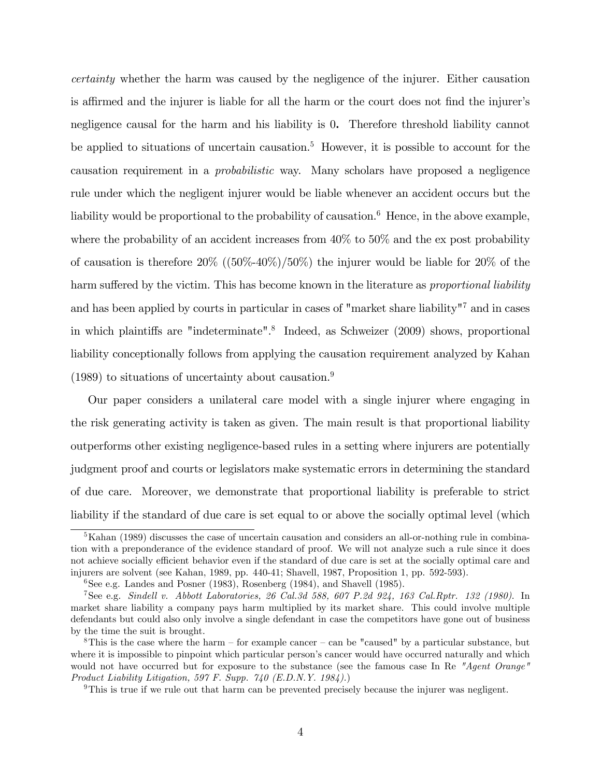certainty whether the harm was caused by the negligence of the injurer. Either causation is affirmed and the injurer is liable for all the harm or the court does not find the injurer's negligence causal for the harm and his liability is 0. Therefore threshold liability cannot be applied to situations of uncertain causation.<sup>5</sup> However, it is possible to account for the causation requirement in a probabilistic way. Many scholars have proposed a negligence rule under which the negligent injurer would be liable whenever an accident occurs but the liability would be proportional to the probability of causation.<sup>6</sup> Hence, in the above example, where the probability of an accident increases from  $40\%$  to  $50\%$  and the ex post probability of causation is therefore  $20\%$  ((50%-40%)/50%) the injurer would be liable for 20% of the harm suffered by the victim. This has become known in the literature as proportional liability and has been applied by courts in particular in cases of "market share liability"<sup>7</sup> and in cases in which plaintiffs are "indeterminate".<sup>8</sup> Indeed, as Schweizer (2009) shows, proportional liability conceptionally follows from applying the causation requirement analyzed by Kahan  $(1989)$  to situations of uncertainty about causation.<sup>9</sup>

Our paper considers a unilateral care model with a single injurer where engaging in the risk generating activity is taken as given. The main result is that proportional liability outperforms other existing negligence-based rules in a setting where injurers are potentially judgment proof and courts or legislators make systematic errors in determining the standard of due care. Moreover, we demonstrate that proportional liability is preferable to strict liability if the standard of due care is set equal to or above the socially optimal level (which

 ${}^{5}$ Kahan (1989) discusses the case of uncertain causation and considers an all-or-nothing rule in combination with a preponderance of the evidence standard of proof. We will not analyze such a rule since it does not achieve socially efficient behavior even if the standard of due care is set at the socially optimal care and injurers are solvent (see Kahan, 1989, pp. 440-41; Shavell, 1987, Proposition 1, pp. 592-593).

 ${}^{6}$ See e.g. Landes and Posner (1983), Rosenberg (1984), and Shavell (1985).

<sup>7</sup>See e.g. Sindell v. Abbott Laboratories, 26 Cal.3d 588, 607 P.2d 924, 163 Cal.Rptr. 132 (1980). In market share liability a company pays harm multiplied by its market share. This could involve multiple defendants but could also only involve a single defendant in case the competitors have gone out of business by the time the suit is brought.

 $8$ This is the case where the harm – for example cancer – can be "caused" by a particular substance, but where it is impossible to pinpoint which particular person's cancer would have occurred naturally and which would not have occurred but for exposure to the substance (see the famous case In Re "Agent Orange" Product Liability Litigation, 597 F. Supp. 740 (E.D.N.Y. 1984).)

<sup>&</sup>lt;sup>9</sup>This is true if we rule out that harm can be prevented precisely because the injurer was negligent.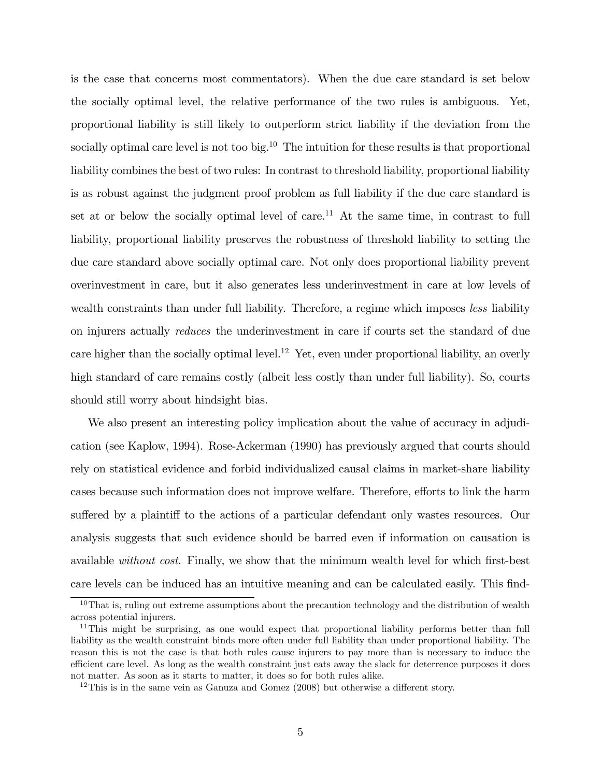is the case that concerns most commentators). When the due care standard is set below the socially optimal level, the relative performance of the two rules is ambiguous. Yet, proportional liability is still likely to outperform strict liability if the deviation from the socially optimal care level is not too big.<sup>10</sup> The intuition for these results is that proportional liability combines the best of two rules: In contrast to threshold liability, proportional liability is as robust against the judgment proof problem as full liability if the due care standard is set at or below the socially optimal level of care.<sup>11</sup> At the same time, in contrast to full liability, proportional liability preserves the robustness of threshold liability to setting the due care standard above socially optimal care. Not only does proportional liability prevent overinvestment in care, but it also generates less underinvestment in care at low levels of wealth constraints than under full liability. Therefore, a regime which imposes less liability on injurers actually reduces the underinvestment in care if courts set the standard of due care higher than the socially optimal level.<sup>12</sup> Yet, even under proportional liability, an overly high standard of care remains costly (albeit less costly than under full liability). So, courts should still worry about hindsight bias.

We also present an interesting policy implication about the value of accuracy in adjudication (see Kaplow, 1994). Rose-Ackerman (1990) has previously argued that courts should rely on statistical evidence and forbid individualized causal claims in market-share liability cases because such information does not improve welfare. Therefore, efforts to link the harm suffered by a plaintiff to the actions of a particular defendant only wastes resources. Our analysis suggests that such evidence should be barred even if information on causation is available *without cost*. Finally, we show that the minimum wealth level for which first-best care levels can be induced has an intuitive meaning and can be calculated easily. This find-

 $10$ That is, ruling out extreme assumptions about the precaution technology and the distribution of wealth across potential injurers.

<sup>&</sup>lt;sup>11</sup>This might be surprising, as one would expect that proportional liability performs better than full liability as the wealth constraint binds more often under full liability than under proportional liability. The reason this is not the case is that both rules cause injurers to pay more than is necessary to induce the efficient care level. As long as the wealth constraint just eats away the slack for deterrence purposes it does not matter. As soon as it starts to matter, it does so for both rules alike.

 $12$ This is in the same vein as Ganuza and Gomez (2008) but otherwise a different story.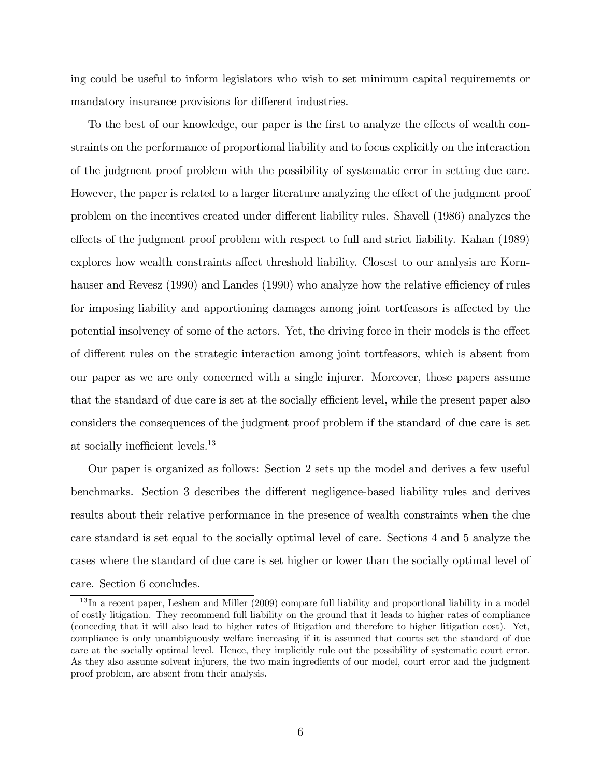ing could be useful to inform legislators who wish to set minimum capital requirements or mandatory insurance provisions for different industries.

To the best of our knowledge, our paper is the first to analyze the effects of wealth constraints on the performance of proportional liability and to focus explicitly on the interaction of the judgment proof problem with the possibility of systematic error in setting due care. However, the paper is related to a larger literature analyzing the effect of the judgment proof problem on the incentives created under different liability rules. Shavell (1986) analyzes the effects of the judgment proof problem with respect to full and strict liability. Kahan (1989) explores how wealth constraints affect threshold liability. Closest to our analysis are Kornhauser and Revesz (1990) and Landes (1990) who analyze how the relative efficiency of rules for imposing liability and apportioning damages among joint torteasors is affected by the potential insolvency of some of the actors. Yet, the driving force in their models is the effect of different rules on the strategic interaction among joint torteasors, which is absent from our paper as we are only concerned with a single injurer. Moreover, those papers assume that the standard of due care is set at the socially efficient level, while the present paper also considers the consequences of the judgment proof problem if the standard of due care is set at socially inefficient levels. $^{13}$ 

Our paper is organized as follows: Section 2 sets up the model and derives a few useful benchmarks. Section 3 describes the different negligence-based liability rules and derives results about their relative performance in the presence of wealth constraints when the due care standard is set equal to the socially optimal level of care. Sections 4 and 5 analyze the cases where the standard of due care is set higher or lower than the socially optimal level of care. Section 6 concludes.

<sup>&</sup>lt;sup>13</sup>In a recent paper, Leshem and Miller (2009) compare full liability and proportional liability in a model of costly litigation. They recommend full liability on the ground that it leads to higher rates of compliance (conceding that it will also lead to higher rates of litigation and therefore to higher litigation cost). Yet, compliance is only unambiguously welfare increasing if it is assumed that courts set the standard of due care at the socially optimal level. Hence, they implicitly rule out the possibility of systematic court error. As they also assume solvent injurers, the two main ingredients of our model, court error and the judgment proof problem, are absent from their analysis.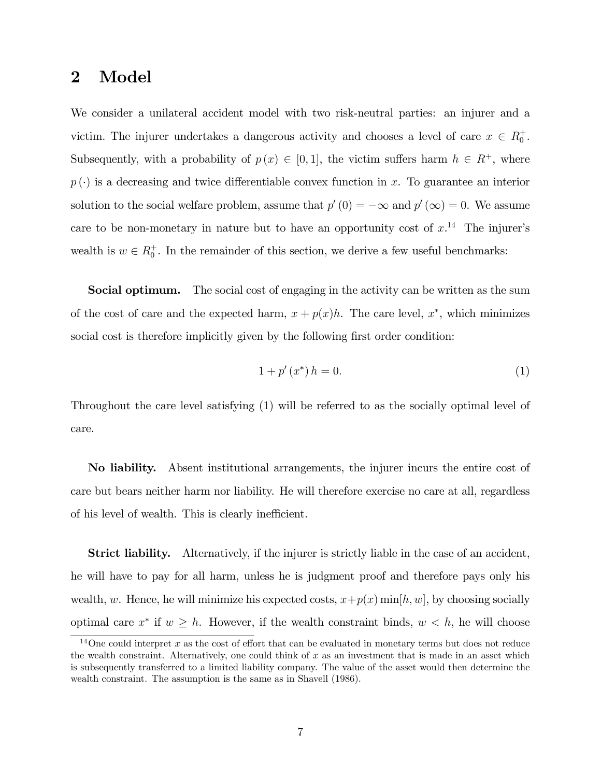# 2 Model

We consider a unilateral accident model with two risk-neutral parties: an injurer and a victim. The injurer undertakes a dangerous activity and chooses a level of care  $x \in R_0^+$ . Subsequently, with a probability of  $p(x) \in [0, 1]$ , the victim suffers harm  $h \in R^+$ , where  $p(\cdot)$  is a decreasing and twice differentiable convex function in x. To guarantee an interior solution to the social welfare problem, assume that  $p'(0) = -\infty$  and  $p'(\infty) = 0$ . We assume care to be non-monetary in nature but to have an opportunity cost of  $x$ .<sup>14</sup> The injurer's wealth is  $w \in R_0^+$ . In the remainder of this section, we derive a few useful benchmarks:

**Social optimum.** The social cost of engaging in the activity can be written as the sum of the cost of care and the expected harm,  $x + p(x)h$ . The care level,  $x^*$ , which minimizes social cost is therefore implicitly given by the following first order condition:

$$
1 + p'(x^*) h = 0.
$$
 (1)

Throughout the care level satisfying (1) will be referred to as the socially optimal level of care.

No liability. Absent institutional arrangements, the injurer incurs the entire cost of care but bears neither harm nor liability. He will therefore exercise no care at all, regardless of his level of wealth. This is clearly inefficient.

**Strict liability.** Alternatively, if the injurer is strictly liable in the case of an accident, he will have to pay for all harm, unless he is judgment proof and therefore pays only his wealth, w. Hence, he will minimize his expected costs,  $x+p(x)$  min $[h, w]$ , by choosing socially optimal care  $x^*$  if  $w \geq h$ . However, if the wealth constraint binds,  $w < h$ , he will choose

<sup>&</sup>lt;sup>14</sup>One could interpret x as the cost of effort that can be evaluated in monetary terms but does not reduce the wealth constraint. Alternatively, one could think of  $x$  as an investment that is made in an asset which is subsequently transferred to a limited liability company. The value of the asset would then determine the wealth constraint. The assumption is the same as in Shavell (1986).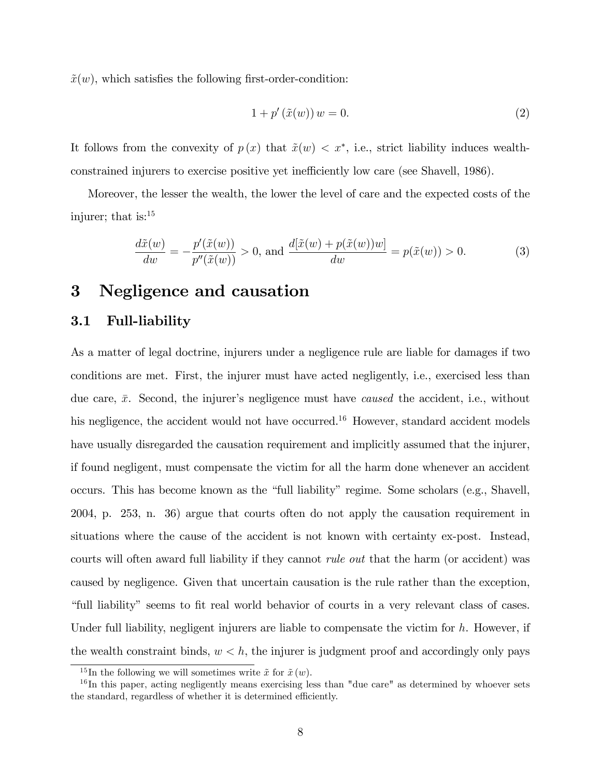$\tilde{x}(w)$ , which satisfies the following first-order-condition:

$$
1 + p'(\tilde{x}(w)) w = 0.
$$
 (2)

It follows from the convexity of  $p(x)$  that  $\tilde{x}(w) < x^*$ , i.e., strict liability induces wealthconstrained injurers to exercise positive yet inefficiently low care (see Shavell, 1986).

Moreover, the lesser the wealth, the lower the level of care and the expected costs of the injurer; that is:<sup>15</sup>

$$
\frac{d\tilde{x}(w)}{dw} = -\frac{p'(\tilde{x}(w))}{p''(\tilde{x}(w))} > 0, \text{ and } \frac{d[\tilde{x}(w) + p(\tilde{x}(w))w]}{dw} = p(\tilde{x}(w)) > 0.
$$
 (3)

# 3 Negligence and causation

### 3.1 Full-liability

As a matter of legal doctrine, injurers under a negligence rule are liable for damages if two conditions are met. First, the injurer must have acted negligently, i.e., exercised less than due care,  $\bar{x}$ . Second, the injurer's negligence must have *caused* the accident, i.e., without his negligence, the accident would not have occurred.<sup>16</sup> However, standard accident models have usually disregarded the causation requirement and implicitly assumed that the injurer, if found negligent, must compensate the victim for all the harm done whenever an accident occurs. This has become known as the "full liability" regime. Some scholars (e.g., Shavell, 2004, p. 253, n. 36) argue that courts often do not apply the causation requirement in situations where the cause of the accident is not known with certainty ex-post. Instead, courts will often award full liability if they cannot *rule out* that the harm (or accident) was caused by negligence. Given that uncertain causation is the rule rather than the exception, "full liability" seems to fit real world behavior of courts in a very relevant class of cases. Under full liability, negligent injurers are liable to compensate the victim for  $h$ . However, if the wealth constraint binds,  $w < h$ , the injurer is judgment proof and accordingly only pays

<sup>&</sup>lt;sup>15</sup>In the following we will sometimes write  $\tilde{x}$  for  $\tilde{x}$  (w).

<sup>&</sup>lt;sup>16</sup>In this paper, acting negligently means exercising less than "due care" as determined by whoever sets the standard, regardless of whether it is determined efficiently.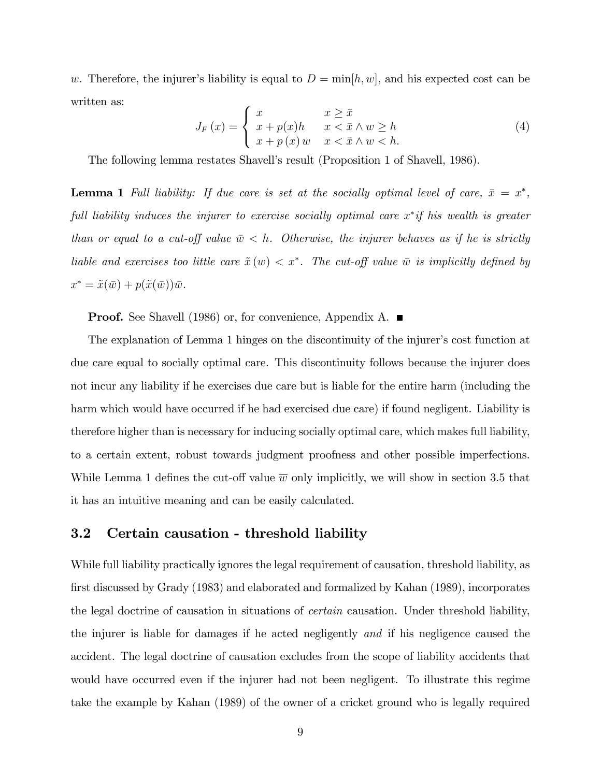w. Therefore, the injurer's liability is equal to  $D = \min[h, w]$ , and his expected cost can be written as:

$$
J_F(x) = \begin{cases} x & x \ge \bar{x} \\ x + p(x)h & x < \bar{x} \wedge w \ge h \\ x + p(x)w & x < \bar{x} \wedge w < h. \end{cases}
$$
 (4)

The following lemma restates Shavell's result (Proposition 1 of Shavell, 1986).

**Lemma 1** Full liability: If due care is set at the socially optimal level of care,  $\bar{x} = x^*$ , full liability induces the injurer to exercise socially optimal care  $x^*$  if his wealth is greater than or equal to a cut-off value  $\bar{w} < h$ . Otherwise, the injurer behaves as if he is strictly liable and exercises too little care  $\tilde{x}(w) < x^*$ . The cut-off value  $\bar{w}$  is implicitly defined by  $x^* = \tilde{x}(\bar{w}) + p(\tilde{x}(\bar{w}))\bar{w}.$ 

**Proof.** See Shavell (1986) or, for convenience, Appendix A. ■

The explanation of Lemma 1 hinges on the discontinuity of the injurer's cost function at due care equal to socially optimal care. This discontinuity follows because the injurer does not incur any liability if he exercises due care but is liable for the entire harm (including the harm which would have occurred if he had exercised due care) if found negligent. Liability is therefore higher than is necessary for inducing socially optimal care, which makes full liability, to a certain extent, robust towards judgment proofness and other possible imperfections. While Lemma 1 defines the cut-off value  $\overline{w}$  only implicitly, we will show in section 3.5 that it has an intuitive meaning and can be easily calculated.

## 3.2 Certain causation - threshold liability

While full liability practically ignores the legal requirement of causation, threshold liability, as first discussed by Grady (1983) and elaborated and formalized by Kahan (1989), incorporates the legal doctrine of causation in situations of certain causation. Under threshold liability, the injurer is liable for damages if he acted negligently and if his negligence caused the accident. The legal doctrine of causation excludes from the scope of liability accidents that would have occurred even if the injurer had not been negligent. To illustrate this regime take the example by Kahan (1989) of the owner of a cricket ground who is legally required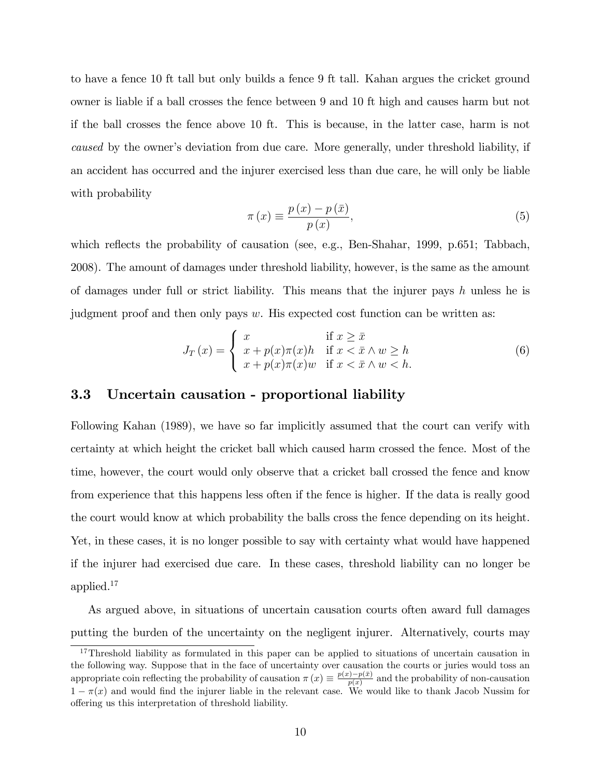to have a fence 10 ft tall but only builds a fence 9 ft tall. Kahan argues the cricket ground owner is liable if a ball crosses the fence between 9 and 10 ft high and causes harm but not if the ball crosses the fence above 10 ft. This is because, in the latter case, harm is not caused by the owner's deviation from due care. More generally, under threshold liability, if an accident has occurred and the injurer exercised less than due care, he will only be liable with probability

$$
\pi(x) \equiv \frac{p(x) - p(\bar{x})}{p(x)},\tag{5}
$$

which reflects the probability of causation (see, e.g., Ben-Shahar, 1999, p.651; Tabbach, 2008). The amount of damages under threshold liability, however, is the same as the amount of damages under full or strict liability. This means that the injurer pays  $h$  unless he is judgment proof and then only pays  $w$ . His expected cost function can be written as:

$$
J_T(x) = \begin{cases} x & \text{if } x \ge \bar{x} \\ x + p(x)\pi(x)h & \text{if } x < \bar{x} \land w \ge h \\ x + p(x)\pi(x)w & \text{if } x < \bar{x} \land w < h. \end{cases}
$$
 (6)

# 3.3 Uncertain causation - proportional liability

Following Kahan (1989), we have so far implicitly assumed that the court can verify with certainty at which height the cricket ball which caused harm crossed the fence. Most of the time, however, the court would only observe that a cricket ball crossed the fence and know from experience that this happens less often if the fence is higher. If the data is really good the court would know at which probability the balls cross the fence depending on its height. Yet, in these cases, it is no longer possible to say with certainty what would have happened if the injurer had exercised due care. In these cases, threshold liability can no longer be applied.<sup>17</sup>

As argued above, in situations of uncertain causation courts often award full damages putting the burden of the uncertainty on the negligent injurer. Alternatively, courts may

<sup>&</sup>lt;sup>17</sup>Threshold liability as formulated in this paper can be applied to situations of uncertain causation in the following way. Suppose that in the face of uncertainty over causation the courts or juries would toss an appropriate coin reflecting the probability of causation  $\pi(x) \equiv \frac{p(x)-p(\bar{x})}{p(x)}$  and the probability of non-causation  $1 - \pi(x)$  and would find the injurer liable in the relevant case. We would like to thank Jacob Nussim for offering us this interpretation of threshold liability.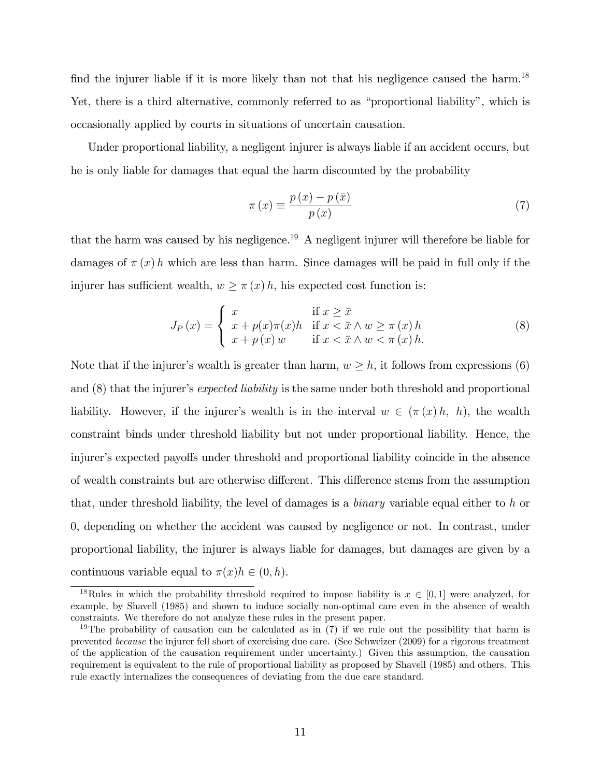find the injurer liable if it is more likely than not that his negligence caused the harm.<sup>18</sup> Yet, there is a third alternative, commonly referred to as "proportional liability", which is occasionally applied by courts in situations of uncertain causation.

Under proportional liability, a negligent injurer is always liable if an accident occurs, but he is only liable for damages that equal the harm discounted by the probability

$$
\pi(x) \equiv \frac{p(x) - p(\bar{x})}{p(x)}\tag{7}
$$

that the harm was caused by his negligence.<sup>19</sup> A negligent injurer will therefore be liable for damages of  $\pi(x)$  h which are less than harm. Since damages will be paid in full only if the injurer has sufficient wealth,  $w \geq \pi(x) h$ , his expected cost function is:

$$
J_P(x) = \begin{cases} x & \text{if } x \ge \bar{x} \\ x + p(x)\pi(x)h & \text{if } x < \bar{x} \wedge w \ge \pi(x)h \\ x + p(x)w & \text{if } x < \bar{x} \wedge w < \pi(x)h. \end{cases}
$$
(8)

Note that if the injurer's wealth is greater than harm,  $w \geq h$ , it follows from expressions (6) and  $(8)$  that the injurer's expected liability is the same under both threshold and proportional liability. However, if the injurer's wealth is in the interval  $w \in (\pi(x) h, h)$ , the wealth constraint binds under threshold liability but not under proportional liability. Hence, the injurer's expected payoffs under threshold and proportional liability coincide in the absence of wealth constraints but are otherwise different. This difference stems from the assumption that, under threshold liability, the level of damages is a *binary* variable equal either to h or 0, depending on whether the accident was caused by negligence or not. In contrast, under proportional liability, the injurer is always liable for damages, but damages are given by a continuous variable equal to  $\pi(x)h \in (0, h)$ .

<sup>&</sup>lt;sup>18</sup>Rules in which the probability threshold required to impose liability is  $x \in [0,1]$  were analyzed, for example, by Shavell (1985) and shown to induce socially non-optimal care even in the absence of wealth constraints. We therefore do not analyze these rules in the present paper.

<sup>&</sup>lt;sup>19</sup>The probability of causation can be calculated as in  $(7)$  if we rule out the possibility that harm is prevented because the injurer fell short of exercising due care. (See Schweizer (2009) for a rigorous treatment of the application of the causation requirement under uncertainty.) Given this assumption, the causation requirement is equivalent to the rule of proportional liability as proposed by Shavell (1985) and others. This rule exactly internalizes the consequences of deviating from the due care standard.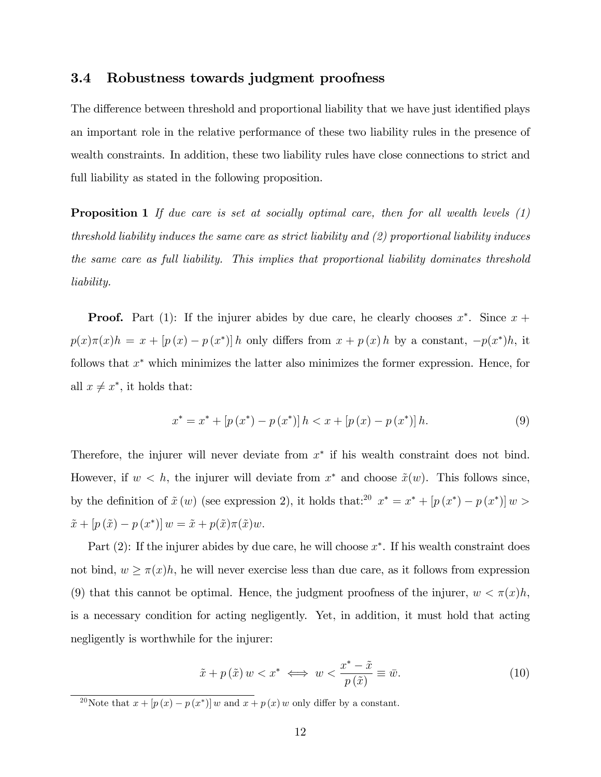### 3.4 Robustness towards judgment proofness

The difference between threshold and proportional liability that we have just identified plays an important role in the relative performance of these two liability rules in the presence of wealth constraints. In addition, these two liability rules have close connections to strict and full liability as stated in the following proposition.

**Proposition 1** If due care is set at socially optimal care, then for all wealth levels  $(1)$ threshold liability induces the same care as strict liability and (2) proportional liability induces the same care as full liability. This implies that proportional liability dominates threshold liability.

**Proof.** Part (1): If the injurer abides by due care, he clearly chooses  $x^*$ . Since  $x +$  $p(x)\pi(x)h = x + [p(x) - p(x^*)]h$  only differs from  $x + p(x)h$  by a constant,  $-p(x^*)h$ , it follows that  $x^*$  which minimizes the latter also minimizes the former expression. Hence, for all  $x \neq x^*$ , it holds that:

$$
x^* = x^* + [p(x^*) - p(x^*)]h < x + [p(x) - p(x^*)]h. \tag{9}
$$

Therefore, the injurer will never deviate from  $x^*$  if his wealth constraint does not bind. However, if  $w < h$ , the injurer will deviate from  $x^*$  and choose  $\tilde{x}(w)$ . This follows since, by the definition of  $\tilde{x} (w)$  (see expression 2), it holds that:<sup>20</sup>  $x^* = x^* + [p(x^*) - p(x^*)] w >$  $\tilde{x} + [p(\tilde{x}) - p(x^*)] w = \tilde{x} + p(\tilde{x})\pi(\tilde{x})w.$ 

Part  $(2)$ : If the injurer abides by due care, he will choose  $x^*$ . If his wealth constraint does not bind,  $w \geq \pi(x)h$ , he will never exercise less than due care, as it follows from expression (9) that this cannot be optimal. Hence, the judgment proofness of the injurer,  $w < \pi(x)h$ , is a necessary condition for acting negligently. Yet, in addition, it must hold that acting negligently is worthwhile for the injurer:

$$
\tilde{x} + p(\tilde{x}) w < x^* \iff w < \frac{x^* - \tilde{x}}{p(\tilde{x})} \equiv \bar{w}.\tag{10}
$$

<sup>&</sup>lt;sup>20</sup>Note that  $x + [p(x) - p(x^*)] w$  and  $x + p(x) w$  only differ by a constant.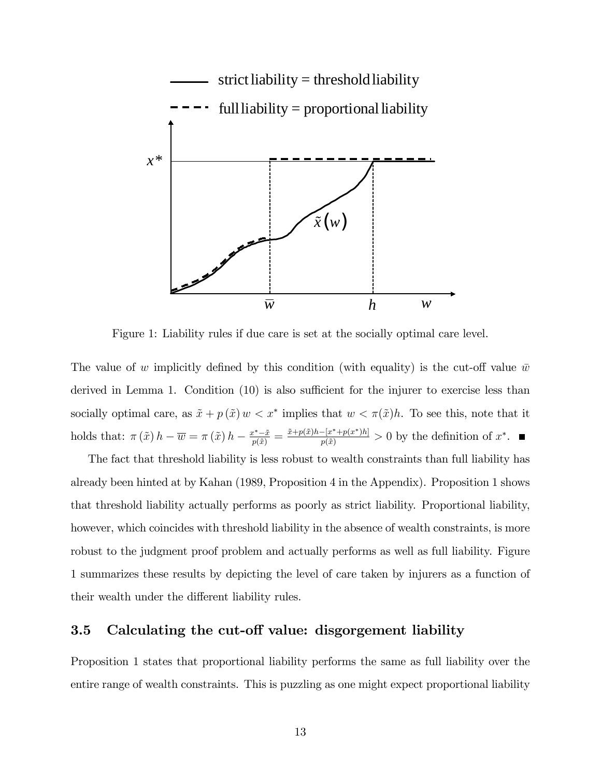

Figure 1: Liability rules if due care is set at the socially optimal care level.

The value of w implicitly defined by this condition (with equality) is the cut-off value  $\bar{w}$ derived in Lemma 1. Condition  $(10)$  is also sufficient for the injurer to exercise less than socially optimal care, as  $\tilde{x} + p(\tilde{x})w < x^*$  implies that  $w < \pi(\tilde{x})h$ . To see this, note that it holds that:  $\pi(\tilde{x}) h - \overline{w} = \pi(\tilde{x}) h - \frac{x^* - \tilde{x}}{p(\tilde{x})} = \frac{\tilde{x} + p(\tilde{x})h - [x^* + p(x^*)h]}{p(\tilde{x})} > 0$  by the definition of  $x^*$ .

The fact that threshold liability is less robust to wealth constraints than full liability has already been hinted at by Kahan (1989, Proposition 4 in the Appendix). Proposition 1 shows that threshold liability actually performs as poorly as strict liability. Proportional liability, however, which coincides with threshold liability in the absence of wealth constraints, is more robust to the judgment proof problem and actually performs as well as full liability. Figure 1 summarizes these results by depicting the level of care taken by injurers as a function of their wealth under the different liability rules.

# 3.5 Calculating the cut-off value: disgorgement liability

Proposition 1 states that proportional liability performs the same as full liability over the entire range of wealth constraints. This is puzzling as one might expect proportional liability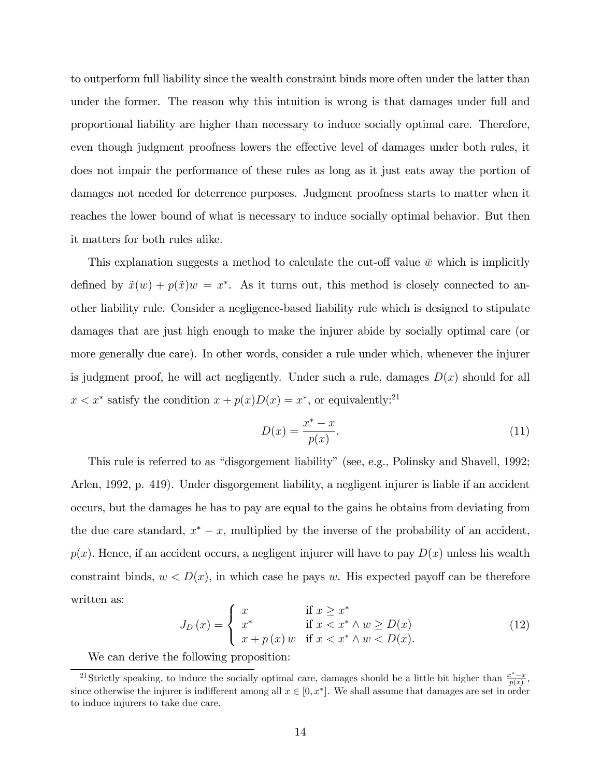to outperform full liability since the wealth constraint binds more often under the latter than under the former. The reason why this intuition is wrong is that damages under full and proportional liability are higher than necessary to induce socially optimal care. Therefore, even though judgment proofness lowers the effective level of damages under both rules, it does not impair the performance of these rules as long as it just eats away the portion of damages not needed for deterrence purposes. Judgment proofness starts to matter when it reaches the lower bound of what is necessary to induce socially optimal behavior. But then it matters for both rules alike.

This explanation suggests a method to calculate the cut-off value  $\bar{w}$  which is implicitly defined by  $\tilde{x}(w) + p(\tilde{x})w = x^*$ . As it turns out, this method is closely connected to another liability rule. Consider a negligence-based liability rule which is designed to stipulate damages that are just high enough to make the injurer abide by socially optimal care (or more generally due care). In other words, consider a rule under which, whenever the injurer is judgment proof, he will act negligently. Under such a rule, damages  $D(x)$  should for all  $x < x^*$  satisfy the condition  $x + p(x)D(x) = x^*$ , or equivalently:<sup>21</sup>

$$
D(x) = \frac{x^* - x}{p(x)}.\tag{11}
$$

This rule is referred to as "disgorgement liability" (see, e.g., Polinsky and Shavell, 1992; Arlen, 1992, p. 419). Under disgorgement liability, a negligent injurer is liable if an accident occurs, but the damages he has to pay are equal to the gains he obtains from deviating from the due care standard,  $x^* - x$ , multiplied by the inverse of the probability of an accident,  $p(x)$ . Hence, if an accident occurs, a negligent injurer will have to pay  $D(x)$  unless his wealth constraint binds,  $w < D(x)$ , in which case he pays w. His expected payoff can be therefore written as:

$$
J_D(x) = \begin{cases} x & \text{if } x \ge x^* \\ x^* & \text{if } x < x^* \land w \ge D(x) \\ x + p(x) \, w & \text{if } x < x^* \land w < D(x). \end{cases}
$$
 (12)

We can derive the following proposition:

<sup>&</sup>lt;sup>21</sup>Strictly speaking, to induce the socially optimal care, damages should be a little bit higher than  $\frac{x^*-x}{p(x)}$ , since otherwise the injurer is indifferent among all  $x \in [0, x^*]$ . We shall assume that damages are set in order to induce injurers to take due care.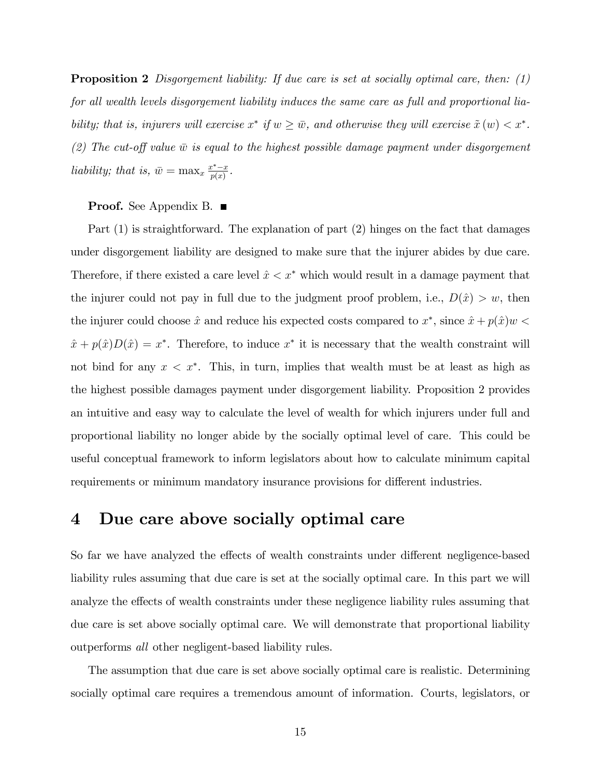**Proposition 2** Disgorgement liability: If due care is set at socially optimal care, then:  $(1)$ for all wealth levels disgorgement liability induces the same care as full and proportional liability; that is, injurers will exercise  $x^*$  if  $w \ge \overline{w}$ , and otherwise they will exercise  $\tilde{x}(w) < x^*$ . (2) The cut-off value  $\bar{w}$  is equal to the highest possible damage payment under disgorgement liability; that is,  $\bar{w} = \max_x \frac{x^*-x}{p(x)}$ .

#### **Proof.** See Appendix B. ■

Part (1) is straightforward. The explanation of part (2) hinges on the fact that damages under disgorgement liability are designed to make sure that the injurer abides by due care. Therefore, if there existed a care level  $\hat{x} < x^*$  which would result in a damage payment that the injurer could not pay in full due to the judgment proof problem, i.e.,  $D(\hat{x}) > w$ , then the injurer could choose  $\hat{x}$  and reduce his expected costs compared to  $x^*$ , since  $\hat{x} + p(\hat{x})w$  $\hat{x} + p(\hat{x})D(\hat{x}) = x^*$ . Therefore, to induce  $x^*$  it is necessary that the wealth constraint will not bind for any  $x < x^*$ . This, in turn, implies that wealth must be at least as high as the highest possible damages payment under disgorgement liability. Proposition 2 provides an intuitive and easy way to calculate the level of wealth for which injurers under full and proportional liability no longer abide by the socially optimal level of care. This could be useful conceptual framework to inform legislators about how to calculate minimum capital requirements or minimum mandatory insurance provisions for different industries.

# 4 Due care above socially optimal care

So far we have analyzed the effects of wealth constraints under different negligence-based liability rules assuming that due care is set at the socially optimal care. In this part we will analyze the effects of wealth constraints under these negligence liability rules assuming that due care is set above socially optimal care. We will demonstrate that proportional liability outperforms all other negligent-based liability rules.

The assumption that due care is set above socially optimal care is realistic. Determining socially optimal care requires a tremendous amount of information. Courts, legislators, or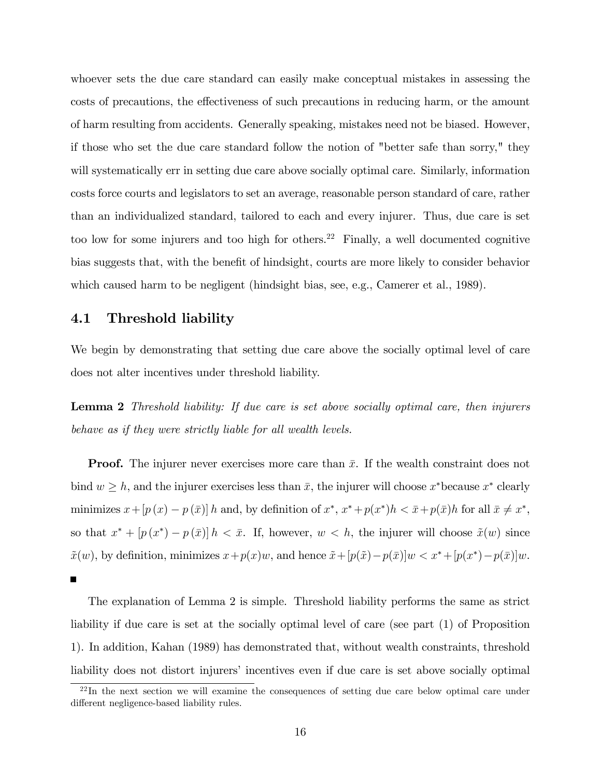whoever sets the due care standard can easily make conceptual mistakes in assessing the costs of precautions, the effectiveness of such precautions in reducing harm, or the amount of harm resulting from accidents. Generally speaking, mistakes need not be biased. However, if those who set the due care standard follow the notion of "better safe than sorry," they will systematically err in setting due care above socially optimal care. Similarly, information costs force courts and legislators to set an average, reasonable person standard of care, rather than an individualized standard, tailored to each and every injurer. Thus, due care is set too low for some injurers and too high for others.<sup>22</sup> Finally, a well documented cognitive bias suggests that, with the benefit of hindsight, courts are more likely to consider behavior which caused harm to be negligent (hindsight bias, see, e.g., Camerer et al., 1989).

### 4.1 Threshold liability

We begin by demonstrating that setting due care above the socially optimal level of care does not alter incentives under threshold liability.

Lemma 2 Threshold liability: If due care is set above socially optimal care, then injurers behave as if they were strictly liable for all wealth levels.

**Proof.** The injurer never exercises more care than  $\bar{x}$ . If the wealth constraint does not bind  $w \geq h$ , and the injurer exercises less than  $\bar{x}$ , the injurer will choose  $x^*$  because  $x^*$  clearly minimizes  $x + [p(x) - p(\bar{x})]h$  and, by definition of  $x^*, x^* + p(x^*)h < \bar{x} + p(\bar{x})h$  for all  $\bar{x} \neq x^*$ , so that  $x^* + [p(x^*) - p(\bar{x})]h < \bar{x}$ . If, however,  $w < h$ , the injurer will choose  $\tilde{x}(w)$  since  $\tilde{x}(w)$ , by definition, minimizes  $x+p(x)w$ , and hence  $\tilde{x}+[p(\tilde{x})-p(\bar{x})]w < x^*+[p(x^*)-p(\bar{x})]w$ .  $\blacksquare$ 

The explanation of Lemma 2 is simple. Threshold liability performs the same as strict liability if due care is set at the socially optimal level of care (see part (1) of Proposition 1). In addition, Kahan (1989) has demonstrated that, without wealth constraints, threshold liability does not distort injurers' incentives even if due care is set above socially optimal

 $22 \text{In the next section we will examine the consequences of setting due care below optimal care under.}$ different negligence-based liability rules.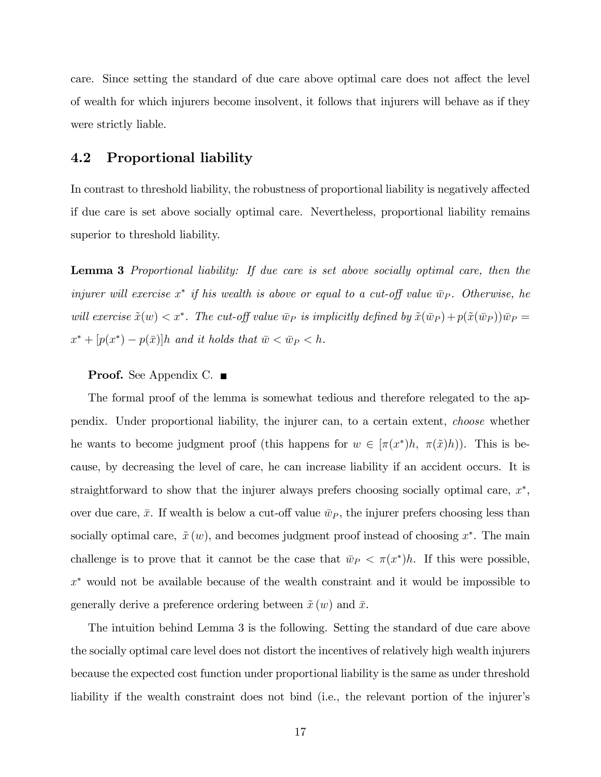care. Since setting the standard of due care above optimal care does not affect the level of wealth for which injurers become insolvent, it follows that injurers will behave as if they were strictly liable.

# 4.2 Proportional liability

In contrast to threshold liability, the robustness of proportional liability is negatively affected if due care is set above socially optimal care. Nevertheless, proportional liability remains superior to threshold liability.

Lemma 3 Proportional liability: If due care is set above socially optimal care, then the injurer will exercise  $x^*$  if his wealth is above or equal to a cut-off value  $\bar{w}_P$ . Otherwise, he will exercise  $\tilde{x}(w) < x^*$ . The cut-off value  $\bar{w}_P$  is implicitly defined by  $\tilde{x}(\bar{w}_P) + p(\tilde{x}(\bar{w}_P))\bar{w}_P =$  $x^* + [p(x^*) - p(\bar{x})]h$  and it holds that  $\bar{w} < \bar{w}_P < h$ .

#### **Proof.** See Appendix C. ■

The formal proof of the lemma is somewhat tedious and therefore relegated to the appendix. Under proportional liability, the injurer can, to a certain extent, choose whether he wants to become judgment proof (this happens for  $w \in [\pi(x^*)h, \pi(\tilde{x})h)$ ). This is because, by decreasing the level of care, he can increase liability if an accident occurs. It is straightforward to show that the injurer always prefers choosing socially optimal care,  $x^*$ , over due care,  $\bar{x}$ . If wealth is below a cut-off value  $\bar{w}_P$ , the injurer prefers choosing less than socially optimal care,  $\tilde{x}(w)$ , and becomes judgment proof instead of choosing  $x^*$ . The main challenge is to prove that it cannot be the case that  $\bar{w}_P < \pi(x^*)h$ . If this were possible,  $x^*$  would not be available because of the wealth constraint and it would be impossible to generally derive a preference ordering between  $\tilde{x} (w)$  and  $\bar{x}$ .

The intuition behind Lemma 3 is the following. Setting the standard of due care above the socially optimal care level does not distort the incentives of relatively high wealth injurers because the expected cost function under proportional liability is the same as under threshold liability if the wealth constraint does not bind (i.e., the relevant portion of the injurer's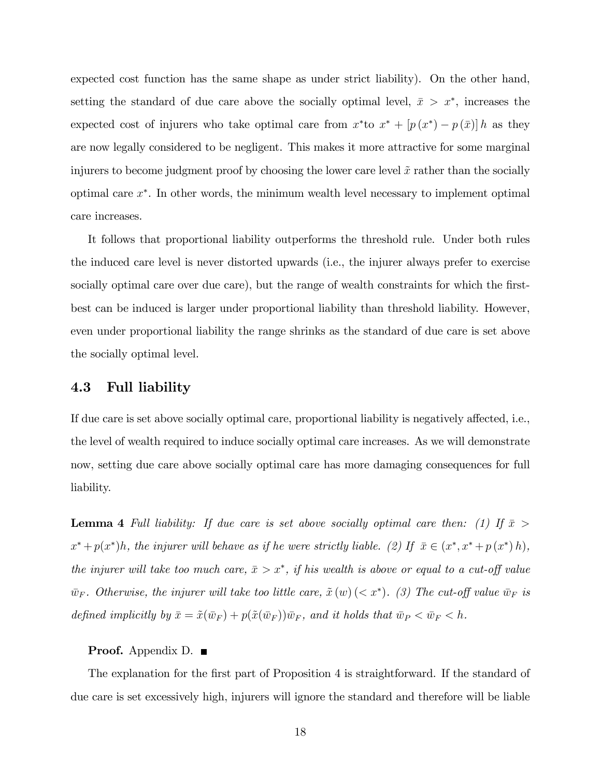expected cost function has the same shape as under strict liability). On the other hand, setting the standard of due care above the socially optimal level,  $\bar{x} > x^*$ , increases the expected cost of injurers who take optimal care from  $x^*$  to  $x^* + [p(x^*) - p(\bar{x})]h$  as they are now legally considered to be negligent. This makes it more attractive for some marginal injurers to become judgment proof by choosing the lower care level  $\tilde{x}$  rather than the socially optimal care x . In other words, the minimum wealth level necessary to implement optimal care increases.

It follows that proportional liability outperforms the threshold rule. Under both rules the induced care level is never distorted upwards (i.e., the injurer always prefer to exercise socially optimal care over due care), but the range of wealth constraints for which the firstbest can be induced is larger under proportional liability than threshold liability. However, even under proportional liability the range shrinks as the standard of due care is set above the socially optimal level.

### 4.3 Full liability

If due care is set above socially optimal care, proportional liability is negatively affected, i.e., the level of wealth required to induce socially optimal care increases. As we will demonstrate now, setting due care above socially optimal care has more damaging consequences for full liability.

**Lemma 4** Full liability: If due care is set above socially optimal care then: (1) If  $\bar{x}$  >  $x^* + p(x^*)h$ , the injurer will behave as if he were strictly liable. (2) If  $\bar{x} \in (x^*, x^* + p(x^*)h)$ , the injurer will take too much care,  $\bar{x} > x^*$ , if his wealth is above or equal to a cut-off value  $\bar{w}_F$ . Otherwise, the injurer will take too little care,  $\tilde{x}$  (w) (< x\*). (3) The cut-off value  $\bar{w}_F$  is defined implicitly by  $\bar{x} = \tilde{x}(\bar{w}_F) + p(\tilde{x}(\bar{w}_F))\bar{w}_F$ , and it holds that  $\bar{w}_P < \bar{w}_F < h$ .

#### **Proof.** Appendix D.  $\blacksquare$

The explanation for the first part of Proposition 4 is straightforward. If the standard of due care is set excessively high, injurers will ignore the standard and therefore will be liable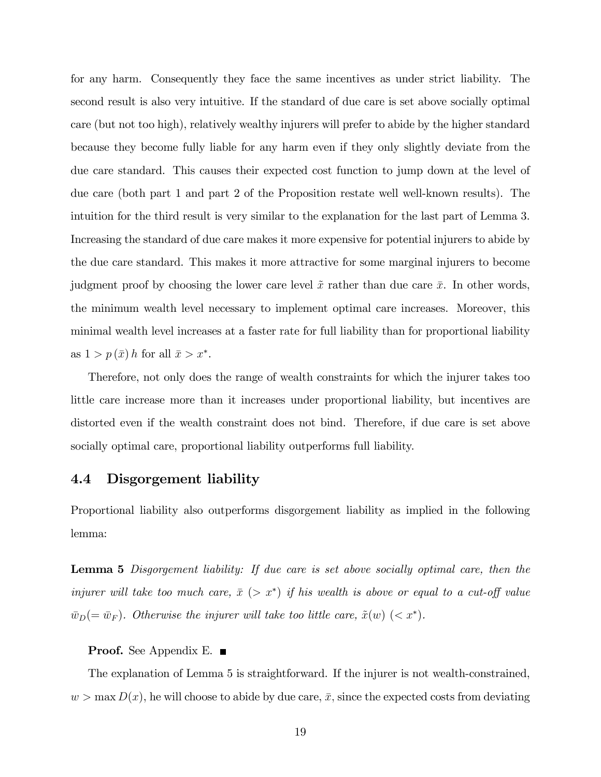for any harm. Consequently they face the same incentives as under strict liability. The second result is also very intuitive. If the standard of due care is set above socially optimal care (but not too high), relatively wealthy injurers will prefer to abide by the higher standard because they become fully liable for any harm even if they only slightly deviate from the due care standard. This causes their expected cost function to jump down at the level of due care (both part 1 and part 2 of the Proposition restate well well-known results). The intuition for the third result is very similar to the explanation for the last part of Lemma 3. Increasing the standard of due care makes it more expensive for potential injurers to abide by the due care standard. This makes it more attractive for some marginal injurers to become judgment proof by choosing the lower care level  $\tilde{x}$  rather than due care  $\bar{x}$ . In other words, the minimum wealth level necessary to implement optimal care increases. Moreover, this minimal wealth level increases at a faster rate for full liability than for proportional liability as  $1 > p(\bar{x}) h$  for all  $\bar{x} > x^*$ .

Therefore, not only does the range of wealth constraints for which the injurer takes too little care increase more than it increases under proportional liability, but incentives are distorted even if the wealth constraint does not bind. Therefore, if due care is set above socially optimal care, proportional liability outperforms full liability.

### 4.4 Disgorgement liability

Proportional liability also outperforms disgorgement liability as implied in the following lemma:

Lemma 5 Disgorgement liability: If due care is set above socially optimal care, then the injurer will take too much care,  $\bar{x}$  ( $> x^*$ ) if his wealth is above or equal to a cut-off value  $\bar{w}_D (= \bar{w}_F)$ . Otherwise the injurer will take too little care,  $\tilde{x}(w)$  (<  $x^*$ ).

#### **Proof.** See Appendix E. ■

The explanation of Lemma 5 is straightforward. If the injurer is not wealth-constrained,  $w > \max D(x)$ , he will choose to abide by due care,  $\bar{x}$ , since the expected costs from deviating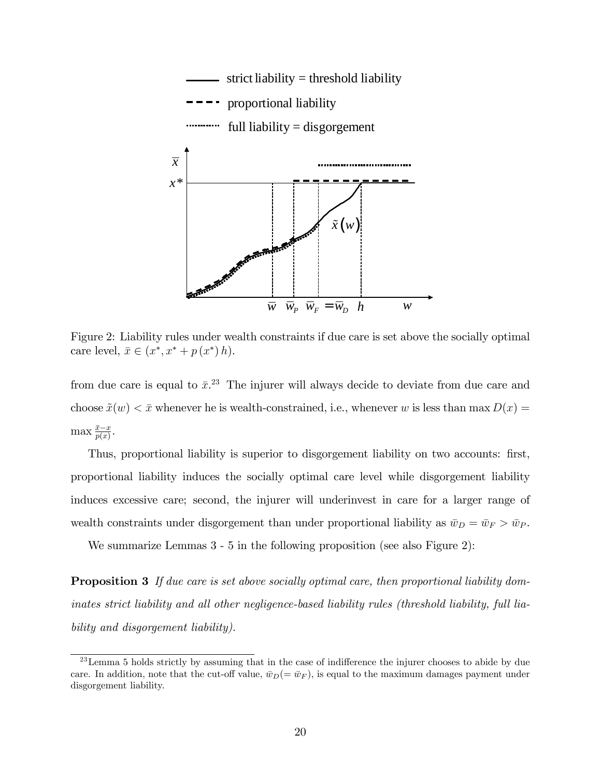

Figure 2: Liability rules under wealth constraints if due care is set above the socially optimal care level,  $\bar{x} \in (x^*, x^* + p(x^*) h)$ .

from due care is equal to  $\bar{x}$ <sup>23</sup>. The injurer will always decide to deviate from due care and choose  $\tilde{x}(w) < \bar{x}$  whenever he is wealth-constrained, i.e., whenever w is less than max  $D(x) =$  $\max \frac{\bar{x}-x}{p(x)}$ .

Thus, proportional liability is superior to disgorgement liability on two accounts: first, proportional liability induces the socially optimal care level while disgorgement liability induces excessive care; second, the injurer will underinvest in care for a larger range of wealth constraints under disgorgement than under proportional liability as  $\bar{w}_D = \bar{w}_F > \bar{w}_P$ .

We summarize Lemmas 3 - 5 in the following proposition (see also Figure 2):

**Proposition 3** If due care is set above socially optimal care, then proportional liability dominates strict liability and all other negligence-based liability rules (threshold liability, full liability and disgorgement liability).

 $^{23}$  Lemma 5 holds strictly by assuming that in the case of indifference the injurer chooses to abide by due care. In addition, note that the cut-off value,  $\bar{w}_D (= \bar{w}_F)$ , is equal to the maximum damages payment under disgorgement liability.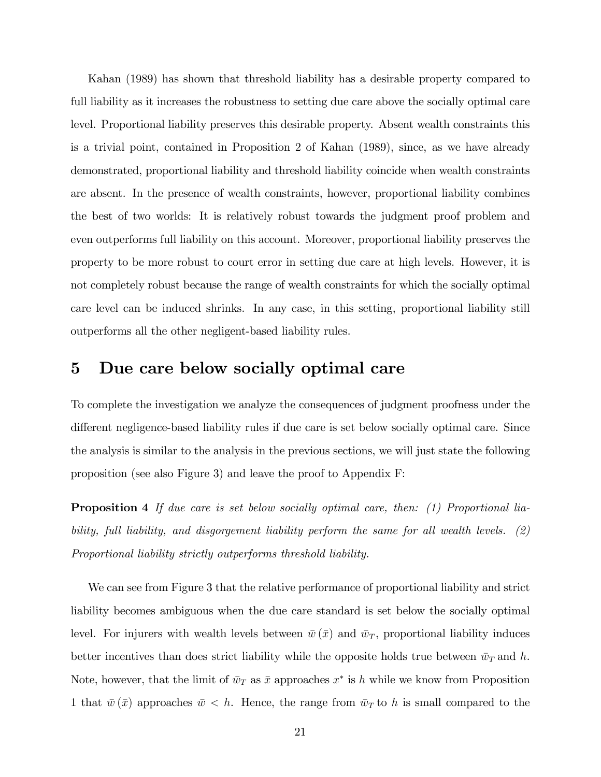Kahan (1989) has shown that threshold liability has a desirable property compared to full liability as it increases the robustness to setting due care above the socially optimal care level. Proportional liability preserves this desirable property. Absent wealth constraints this is a trivial point, contained in Proposition 2 of Kahan (1989), since, as we have already demonstrated, proportional liability and threshold liability coincide when wealth constraints are absent. In the presence of wealth constraints, however, proportional liability combines the best of two worlds: It is relatively robust towards the judgment proof problem and even outperforms full liability on this account. Moreover, proportional liability preserves the property to be more robust to court error in setting due care at high levels. However, it is not completely robust because the range of wealth constraints for which the socially optimal care level can be induced shrinks. In any case, in this setting, proportional liability still outperforms all the other negligent-based liability rules.

# 5 Due care below socially optimal care

To complete the investigation we analyze the consequences of judgment proofness under the different negligence-based liability rules if due care is set below socially optimal care. Since the analysis is similar to the analysis in the previous sections, we will just state the following proposition (see also Figure 3) and leave the proof to Appendix F:

**Proposition 4** If due care is set below socially optimal care, then: (1) Proportional liability, full liability, and disgorgement liability perform the same for all wealth levels. (2) Proportional liability strictly outperforms threshold liability.

We can see from Figure 3 that the relative performance of proportional liability and strict liability becomes ambiguous when the due care standard is set below the socially optimal level. For injurers with wealth levels between  $\bar{w}(\bar{x})$  and  $\bar{w}_T$ , proportional liability induces better incentives than does strict liability while the opposite holds true between  $\bar{w}_T$  and h. Note, however, that the limit of  $\bar{w}_T$  as  $\bar{x}$  approaches  $x^*$  is h while we know from Proposition 1 that  $\bar{w}(\bar{x})$  approaches  $\bar{w} < h$ . Hence, the range from  $\bar{w}_T$  to h is small compared to the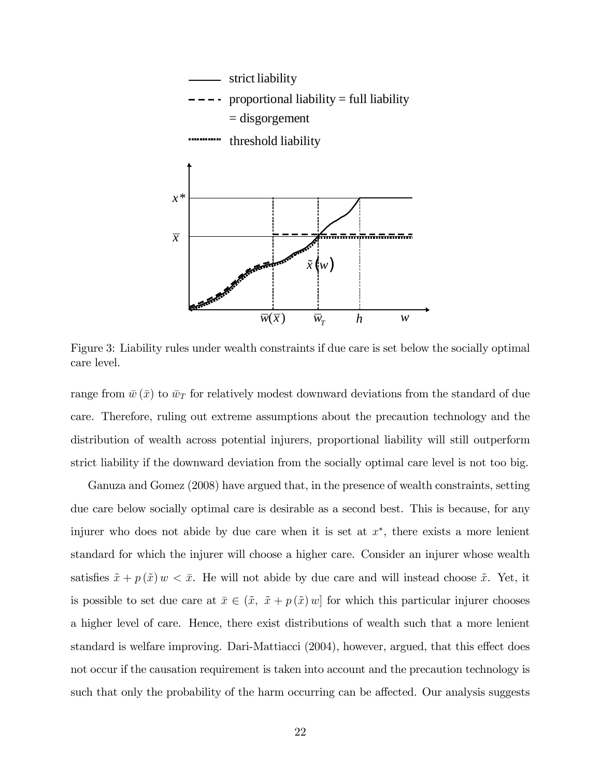

Figure 3: Liability rules under wealth constraints if due care is set below the socially optimal care level.

range from  $\bar{w}(\bar{x})$  to  $\bar{w}_T$  for relatively modest downward deviations from the standard of due care. Therefore, ruling out extreme assumptions about the precaution technology and the distribution of wealth across potential injurers, proportional liability will still outperform strict liability if the downward deviation from the socially optimal care level is not too big.

Ganuza and Gomez (2008) have argued that, in the presence of wealth constraints, setting due care below socially optimal care is desirable as a second best. This is because, for any injurer who does not abide by due care when it is set at  $x^*$ , there exists a more lenient standard for which the injurer will choose a higher care. Consider an injurer whose wealth satisfies  $\tilde{x} + p(\tilde{x})w < \bar{x}$ . He will not abide by due care and will instead choose  $\tilde{x}$ . Yet, it is possible to set due care at  $\bar{x} \in (\tilde{x}, \tilde{x} + p(\tilde{x})w]$  for which this particular injurer chooses a higher level of care. Hence, there exist distributions of wealth such that a more lenient standard is welfare improving. Dari-Mattiacci (2004), however, argued, that this effect does not occur if the causation requirement is taken into account and the precaution technology is such that only the probability of the harm occurring can be affected. Our analysis suggests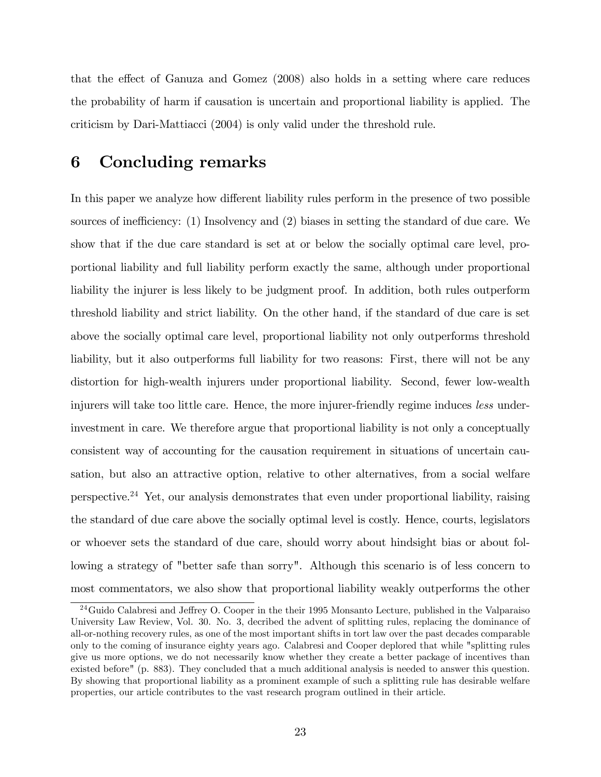that the effect of Ganuza and Gomez  $(2008)$  also holds in a setting where care reduces the probability of harm if causation is uncertain and proportional liability is applied. The criticism by Dari-Mattiacci (2004) is only valid under the threshold rule.

# 6 Concluding remarks

In this paper we analyze how different liability rules perform in the presence of two possible sources of inefficiency:  $(1)$  Insolvency and  $(2)$  biases in setting the standard of due care. We show that if the due care standard is set at or below the socially optimal care level, proportional liability and full liability perform exactly the same, although under proportional liability the injurer is less likely to be judgment proof. In addition, both rules outperform threshold liability and strict liability. On the other hand, if the standard of due care is set above the socially optimal care level, proportional liability not only outperforms threshold liability, but it also outperforms full liability for two reasons: First, there will not be any distortion for high-wealth injurers under proportional liability. Second, fewer low-wealth injurers will take too little care. Hence, the more injurer-friendly regime induces less underinvestment in care. We therefore argue that proportional liability is not only a conceptually consistent way of accounting for the causation requirement in situations of uncertain causation, but also an attractive option, relative to other alternatives, from a social welfare perspective.<sup>24</sup> Yet, our analysis demonstrates that even under proportional liability, raising the standard of due care above the socially optimal level is costly. Hence, courts, legislators or whoever sets the standard of due care, should worry about hindsight bias or about following a strategy of "better safe than sorry". Although this scenario is of less concern to most commentators, we also show that proportional liability weakly outperforms the other

 $24$ Guido Calabresi and Jeffrey O. Cooper in the their 1995 Monsanto Lecture, published in the Valparaiso University Law Review, Vol. 30. No. 3, decribed the advent of splitting rules, replacing the dominance of all-or-nothing recovery rules, as one of the most important shifts in tort law over the past decades comparable only to the coming of insurance eighty years ago. Calabresi and Cooper deplored that while "splitting rules give us more options, we do not necessarily know whether they create a better package of incentives than existed before" (p. 883). They concluded that a much additional analysis is needed to answer this question. By showing that proportional liability as a prominent example of such a splitting rule has desirable welfare properties, our article contributes to the vast research program outlined in their article.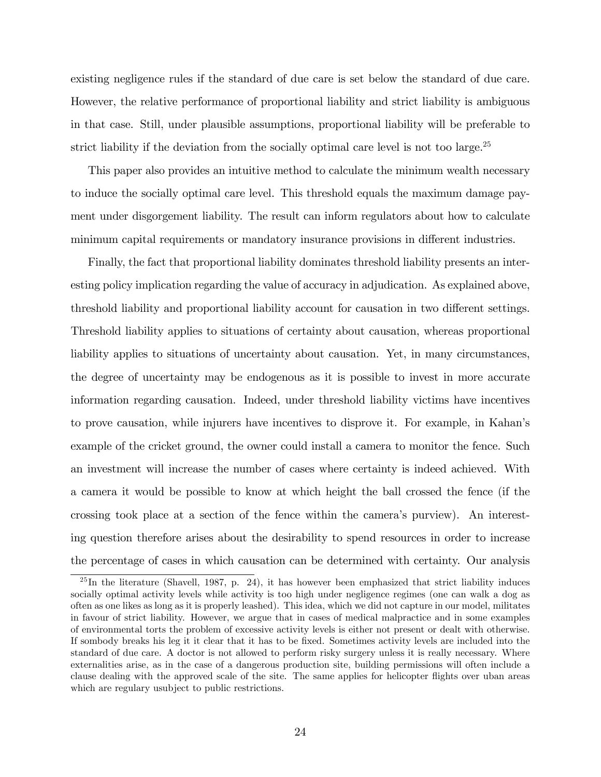existing negligence rules if the standard of due care is set below the standard of due care. However, the relative performance of proportional liability and strict liability is ambiguous in that case. Still, under plausible assumptions, proportional liability will be preferable to strict liability if the deviation from the socially optimal care level is not too large.<sup>25</sup>

This paper also provides an intuitive method to calculate the minimum wealth necessary to induce the socially optimal care level. This threshold equals the maximum damage payment under disgorgement liability. The result can inform regulators about how to calculate minimum capital requirements or mandatory insurance provisions in different industries.

Finally, the fact that proportional liability dominates threshold liability presents an interesting policy implication regarding the value of accuracy in adjudication. As explained above, threshold liability and proportional liability account for causation in two different settings. Threshold liability applies to situations of certainty about causation, whereas proportional liability applies to situations of uncertainty about causation. Yet, in many circumstances, the degree of uncertainty may be endogenous as it is possible to invest in more accurate information regarding causation. Indeed, under threshold liability victims have incentives to prove causation, while injurers have incentives to disprove it. For example, in Kahanís example of the cricket ground, the owner could install a camera to monitor the fence. Such an investment will increase the number of cases where certainty is indeed achieved. With a camera it would be possible to know at which height the ball crossed the fence (if the crossing took place at a section of the fence within the cameraís purview). An interesting question therefore arises about the desirability to spend resources in order to increase the percentage of cases in which causation can be determined with certainty. Our analysis

 $^{25}$ In the literature (Shavell, 1987, p. 24), it has however been emphasized that strict liability induces socially optimal activity levels while activity is too high under negligence regimes (one can walk a dog as often as one likes as long as it is properly leashed). This idea, which we did not capture in our model, militates in favour of strict liability. However, we argue that in cases of medical malpractice and in some examples of environmental torts the problem of excessive activity levels is either not present or dealt with otherwise. If sombody breaks his leg it it clear that it has to be Öxed. Sometimes activity levels are included into the standard of due care. A doctor is not allowed to perform risky surgery unless it is really necessary. Where externalities arise, as in the case of a dangerous production site, building permissions will often include a clause dealing with the approved scale of the site. The same applies for helicopter áights over uban areas which are regulary usubject to public restrictions.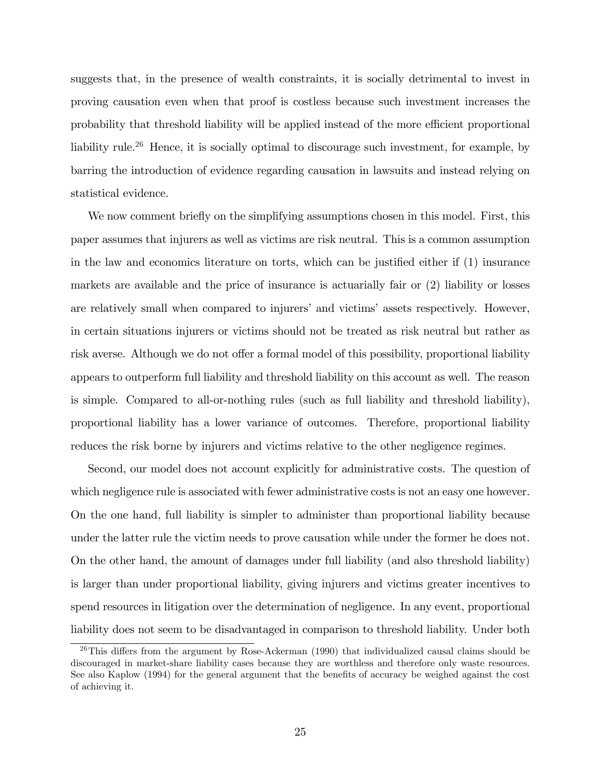suggests that, in the presence of wealth constraints, it is socially detrimental to invest in proving causation even when that proof is costless because such investment increases the probability that threshold liability will be applied instead of the more efficient proportional liability rule.<sup>26</sup> Hence, it is socially optimal to discourage such investment, for example, by barring the introduction of evidence regarding causation in lawsuits and instead relying on statistical evidence.

We now comment briefly on the simplifying assumptions chosen in this model. First, this paper assumes that injurers as well as victims are risk neutral. This is a common assumption in the law and economics literature on torts, which can be justified either if  $(1)$  insurance markets are available and the price of insurance is actuarially fair or (2) liability or losses are relatively small when compared to injurers' and victims' assets respectively. However, in certain situations injurers or victims should not be treated as risk neutral but rather as risk averse. Although we do not offer a formal model of this possibility, proportional liability appears to outperform full liability and threshold liability on this account as well. The reason is simple. Compared to all-or-nothing rules (such as full liability and threshold liability), proportional liability has a lower variance of outcomes. Therefore, proportional liability reduces the risk borne by injurers and victims relative to the other negligence regimes.

Second, our model does not account explicitly for administrative costs. The question of which negligence rule is associated with fewer administrative costs is not an easy one however. On the one hand, full liability is simpler to administer than proportional liability because under the latter rule the victim needs to prove causation while under the former he does not. On the other hand, the amount of damages under full liability (and also threshold liability) is larger than under proportional liability, giving injurers and victims greater incentives to spend resources in litigation over the determination of negligence. In any event, proportional liability does not seem to be disadvantaged in comparison to threshold liability. Under both

<sup>&</sup>lt;sup>26</sup>This differs from the argument by Rose-Ackerman (1990) that individualized causal claims should be discouraged in market-share liability cases because they are worthless and therefore only waste resources. See also Kaplow (1994) for the general argument that the benefits of accuracy be weighed against the cost of achieving it.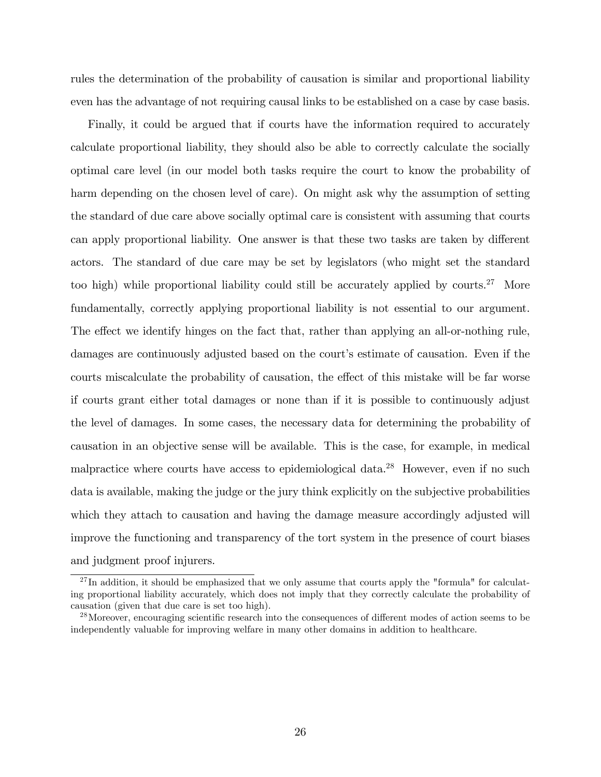rules the determination of the probability of causation is similar and proportional liability even has the advantage of not requiring causal links to be established on a case by case basis.

Finally, it could be argued that if courts have the information required to accurately calculate proportional liability, they should also be able to correctly calculate the socially optimal care level (in our model both tasks require the court to know the probability of harm depending on the chosen level of care). On might ask why the assumption of setting the standard of due care above socially optimal care is consistent with assuming that courts can apply proportional liability. One answer is that these two tasks are taken by different actors. The standard of due care may be set by legislators (who might set the standard too high) while proportional liability could still be accurately applied by courts.<sup>27</sup> More fundamentally, correctly applying proportional liability is not essential to our argument. The effect we identify hinges on the fact that, rather than applying an all-or-nothing rule, damages are continuously adjusted based on the court's estimate of causation. Even if the courts miscalculate the probability of causation, the effect of this mistake will be far worse if courts grant either total damages or none than if it is possible to continuously adjust the level of damages. In some cases, the necessary data for determining the probability of causation in an objective sense will be available. This is the case, for example, in medical malpractice where courts have access to epidemiological data.<sup>28</sup> However, even if no such data is available, making the judge or the jury think explicitly on the subjective probabilities which they attach to causation and having the damage measure accordingly adjusted will improve the functioning and transparency of the tort system in the presence of court biases and judgment proof injurers.

 $^{27}$ In addition, it should be emphasized that we only assume that courts apply the "formula" for calculating proportional liability accurately, which does not imply that they correctly calculate the probability of causation (given that due care is set too high).

<sup>&</sup>lt;sup>28</sup>Moreover, encouraging scientific research into the consequences of different modes of action seems to be independently valuable for improving welfare in many other domains in addition to healthcare.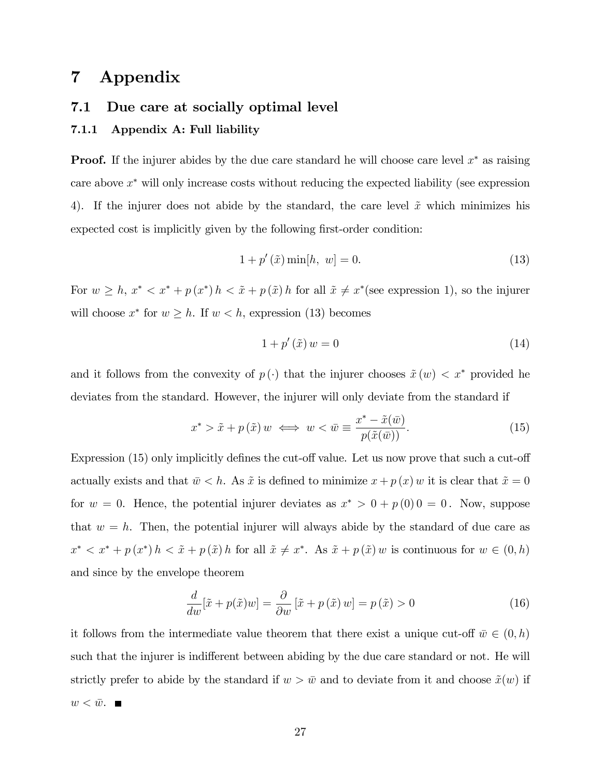# 7 Appendix

# 7.1 Due care at socially optimal level

### 7.1.1 Appendix A: Full liability

**Proof.** If the injurer abides by the due care standard he will choose care level  $x^*$  as raising care above  $x^*$  will only increase costs without reducing the expected liability (see expression 4). If the injurer does not abide by the standard, the care level  $\tilde{x}$  which minimizes his expected cost is implicitly given by the following first-order condition:

$$
1 + p'(\tilde{x}) \min[h, w] = 0.
$$
 (13)

For  $w \geq h$ ,  $x^* < x^* + p(x^*)h < \tilde{x} + p(\tilde{x})h$  for all  $\tilde{x} \neq x^*$  (see expression 1), so the injurer will choose  $x^*$  for  $w \geq h$ . If  $w < h$ , expression (13) becomes

$$
1 + p'(\tilde{x})w = 0 \tag{14}
$$

and it follows from the convexity of  $p(\cdot)$  that the injurer chooses  $\tilde{x}(w) < x^*$  provided he deviates from the standard. However, the injurer will only deviate from the standard if

$$
x^* > \tilde{x} + p(\tilde{x}) w \iff w < \bar{w} \equiv \frac{x^* - \tilde{x}(\bar{w})}{p(\tilde{x}(\bar{w}))}.
$$
 (15)

Expression  $(15)$  only implicitly defines the cut-off value. Let us now prove that such a cut-off actually exists and that  $\bar{w} < h$ . As  $\tilde{x}$  is defined to minimize  $x + p(x)w$  it is clear that  $\tilde{x} = 0$ for  $w = 0$ . Hence, the potential injurer deviates as  $x^* > 0 + p(0)0 = 0$ . Now, suppose that  $w = h$ . Then, the potential injurer will always abide by the standard of due care as  $x^* < x^* + p(x^*) h < \tilde{x} + p(\tilde{x}) h$  for all  $\tilde{x} \neq x^*$ . As  $\tilde{x} + p(\tilde{x}) w$  is continuous for  $w \in (0, h)$ and since by the envelope theorem

$$
\frac{d}{dw}[\tilde{x} + p(\tilde{x})w] = \frac{\partial}{\partial w}[\tilde{x} + p(\tilde{x})w] = p(\tilde{x}) > 0 \tag{16}
$$

it follows from the intermediate value theorem that there exist a unique cut-off  $\bar{w} \in (0, h)$ such that the injurer is indifferent between abiding by the due care standard or not. He will strictly prefer to abide by the standard if  $w > \bar{w}$  and to deviate from it and choose  $\tilde{x}(w)$  if  $w < \bar{w}$ .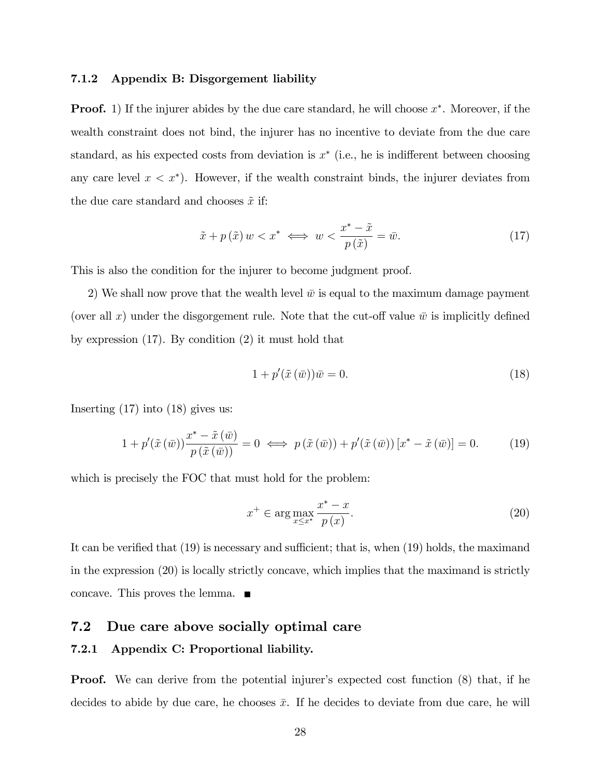#### 7.1.2 Appendix B: Disgorgement liability

**Proof.** 1) If the injurer abides by the due care standard, he will choose  $x^*$ . Moreover, if the wealth constraint does not bind, the injurer has no incentive to deviate from the due care standard, as his expected costs from deviation is  $x^*$  (i.e., he is indifferent between choosing any care level  $x < x^*$ ). However, if the wealth constraint binds, the injurer deviates from the due care standard and chooses  $\tilde{x}$  if:

$$
\tilde{x} + p(\tilde{x}) w < x^* \iff w < \frac{x^* - \tilde{x}}{p(\tilde{x})} = \bar{w}.\tag{17}
$$

This is also the condition for the injurer to become judgment proof.

2) We shall now prove that the wealth level  $\bar{w}$  is equal to the maximum damage payment (over all x) under the disgorgement rule. Note that the cut-off value  $\bar{w}$  is implicitly defined by expression (17). By condition (2) it must hold that

$$
1 + p'(\tilde{x}(\bar{w}))\bar{w} = 0.
$$
\n<sup>(18)</sup>

Inserting (17) into (18) gives us:

$$
1 + p'(\tilde{x}(\bar{w}))\frac{x^* - \tilde{x}(\bar{w})}{p(\tilde{x}(\bar{w}))} = 0 \iff p(\tilde{x}(\bar{w})) + p'(\tilde{x}(\bar{w}))[x^* - \tilde{x}(\bar{w})] = 0.
$$
 (19)

which is precisely the FOC that must hold for the problem:

$$
x^{+} \in \arg\max_{x \leq x^{*}} \frac{x^{*} - x}{p(x)}.
$$
\n
$$
(20)
$$

It can be verified that  $(19)$  is necessary and sufficient; that is, when  $(19)$  holds, the maximand in the expression (20) is locally strictly concave, which implies that the maximand is strictly concave. This proves the lemma.

# 7.2 Due care above socially optimal care

#### 7.2.1 Appendix C: Proportional liability.

**Proof.** We can derive from the potential injurer's expected cost function (8) that, if he decides to abide by due care, he chooses  $\bar{x}$ . If he decides to deviate from due care, he will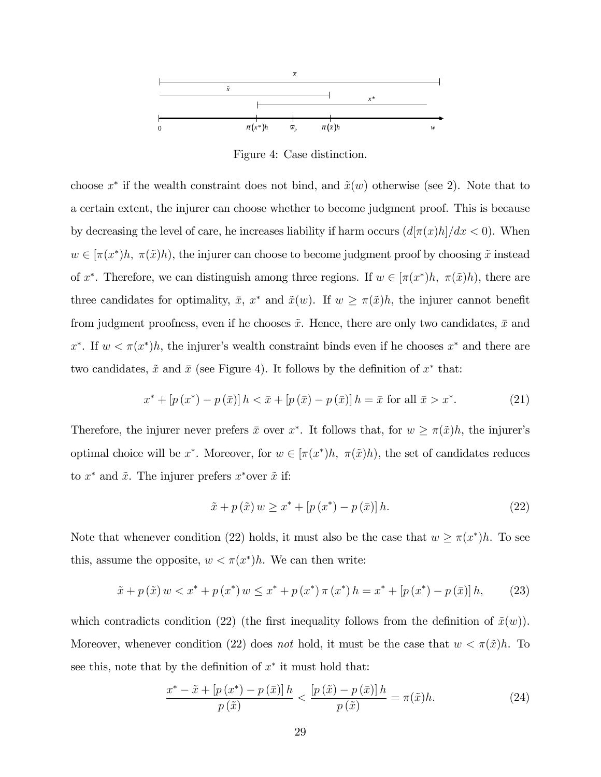

Figure 4: Case distinction.

choose  $x^*$  if the wealth constraint does not bind, and  $\tilde{x}(w)$  otherwise (see 2). Note that to a certain extent, the injurer can choose whether to become judgment proof. This is because by decreasing the level of care, he increases liability if harm occurs  $\left(\frac{d[\pi(x)h]}{dx} < 0\right)$ . When  $w \in [\pi(x^*)h, \pi(\tilde{x})h]$ , the injurer can choose to become judgment proof by choosing  $\tilde{x}$  instead of  $x^*$ . Therefore, we can distinguish among three regions. If  $w \in [\pi(x^*)h, \pi(\tilde{x})h]$ , there are three candidates for optimality,  $\bar{x}$ ,  $x^*$  and  $\tilde{x}(w)$ . If  $w \geq \pi(\tilde{x})h$ , the injurer cannot benefit from judgment proofness, even if he chooses  $\tilde{x}$ . Hence, there are only two candidates,  $\bar{x}$  and x<sup>\*</sup>. If  $w < \pi(x^*)h$ , the injurer's wealth constraint binds even if he chooses x<sup>\*</sup> and there are two candidates,  $\tilde{x}$  and  $\bar{x}$  (see Figure 4). It follows by the definition of  $x^*$  that:

$$
x^* + [p(x^*) - p(\bar{x})]h < \bar{x} + [p(\bar{x}) - p(\bar{x})]h = \bar{x} \text{ for all } \bar{x} > x^*.
$$
 (21)

Therefore, the injurer never prefers  $\bar{x}$  over  $x^*$ . It follows that, for  $w \geq \pi(\tilde{x})h$ , the injurer's optimal choice will be  $x^*$ . Moreover, for  $w \in [\pi(x^*)h, \pi(\tilde{x})h)$ , the set of candidates reduces to  $x^*$  and  $\tilde{x}$ . The injurer prefers  $x^*$  over  $\tilde{x}$  if:

$$
\tilde{x} + p(\tilde{x})w \geq x^* + [p(x^*) - p(\bar{x})]h. \tag{22}
$$

Note that whenever condition (22) holds, it must also be the case that  $w \geq \pi(x^*)h$ . To see this, assume the opposite,  $w < \pi(x^*)h$ . We can then write:

$$
\tilde{x} + p(\tilde{x}) w < x^* + p(x^*) w \leq x^* + p(x^*) \pi(x^*) h = x^* + [p(x^*) - p(\bar{x})] h,\tag{23}
$$

which contradicts condition (22) (the first inequality follows from the definition of  $\tilde{x}(w)$ ). Moreover, whenever condition (22) does not hold, it must be the case that  $w < \pi(\tilde{x})h$ . To see this, note that by the definition of  $x^*$  it must hold that:

$$
\frac{x^* - \tilde{x} + [p(x^*) - p(\bar{x})]h}{p(\tilde{x})} < \frac{[p(\tilde{x}) - p(\bar{x})]h}{p(\tilde{x})} = \pi(\tilde{x})h. \tag{24}
$$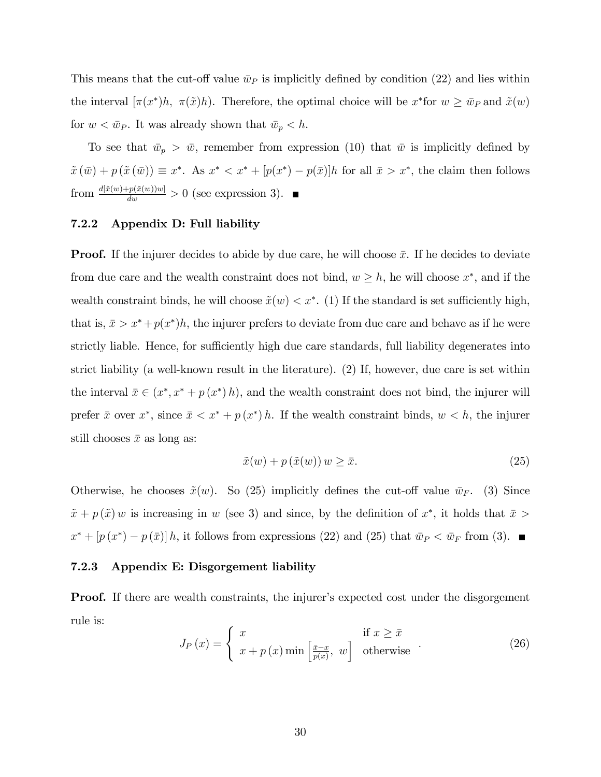This means that the cut-off value  $\bar{w}_P$  is implicitly defined by condition (22) and lies within the interval  $[\pi(x^*)h, \ \pi(\tilde{x})h]$ . Therefore, the optimal choice will be  $x^*$  for  $w \ge \bar{w}_P$  and  $\tilde{x}(w)$ for  $w < \bar{w}_P$ . It was already shown that  $\bar{w}_p < h$ .

To see that  $\bar{w}_p > \bar{w}$ , remember from expression (10) that  $\bar{w}$  is implicitly defined by  $\tilde{x}(\bar{w}) + p(\tilde{x}(\bar{w})) \equiv x^*$ . As  $x^* < x^* + [p(x^*) - p(\bar{x})]h$  for all  $\bar{x} > x^*$ , the claim then follows from  $\frac{d[\tilde{x}(w)+p(\tilde{x}(w))w]}{dw} > 0$  (see expression 3).

### 7.2.2 Appendix D: Full liability

**Proof.** If the injurer decides to abide by due care, he will choose  $\bar{x}$ . If he decides to deviate from due care and the wealth constraint does not bind,  $w \geq h$ , he will choose  $x^*$ , and if the wealth constraint binds, he will choose  $\tilde{x}(w) < x^*$ . (1) If the standard is set sufficiently high, that is,  $\bar{x} > x^* + p(x^*)h$ , the injurer prefers to deviate from due care and behave as if he were strictly liable. Hence, for sufficiently high due care standards, full liability degenerates into strict liability (a well-known result in the literature). (2) If, however, due care is set within the interval  $\bar{x} \in (x^*, x^* + p(x^*))$ , and the wealth constraint does not bind, the injurer will prefer  $\bar{x}$  over  $x^*$ , since  $\bar{x} < x^* + p(x^*) h$ . If the wealth constraint binds,  $w < h$ , the injurer still chooses  $\bar{x}$  as long as:

$$
\tilde{x}(w) + p(\tilde{x}(w)) w \ge \bar{x}.\tag{25}
$$

Otherwise, he chooses  $\tilde{x}(w)$ . So (25) implicitly defines the cut-off value  $\bar{w}_F$ . (3) Since  $\tilde{x} + p(\tilde{x})w$  is increasing in w (see 3) and since, by the definition of  $x^*$ , it holds that  $\bar{x}$  $x^* + [p(x^*) - p(\bar{x})]h$ , it follows from expressions (22) and (25) that  $\bar{w}_P < \bar{w}_F$  from (3).

#### 7.2.3 Appendix E: Disgorgement liability

**Proof.** If there are wealth constraints, the injurer's expected cost under the disgorgement rule is:

$$
J_P(x) = \begin{cases} x & \text{if } x \ge \bar{x} \\ x + p(x) \min\left[\frac{\bar{x} - x}{p(x)}, w\right] & \text{otherwise} \end{cases}
$$
 (26)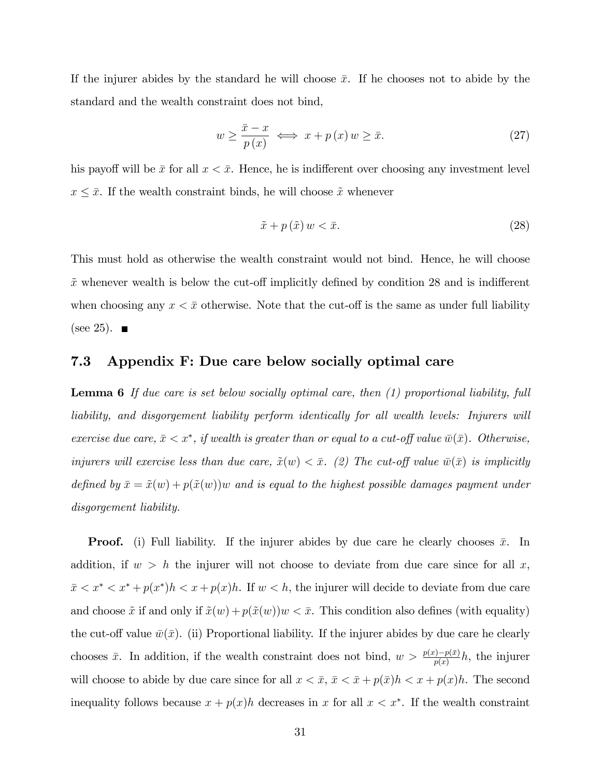If the injurer abides by the standard he will choose  $\bar{x}$ . If he chooses not to abide by the standard and the wealth constraint does not bind,

$$
w \ge \frac{\bar{x} - x}{p(x)} \iff x + p(x) w \ge \bar{x}.\tag{27}
$$

his payoff will be  $\bar{x}$  for all  $x < \bar{x}$ . Hence, he is indifferent over choosing any investment level  $x \leq \bar{x}$ . If the wealth constraint binds, he will choose  $\tilde{x}$  whenever

$$
\tilde{x} + p\left(\tilde{x}\right)w < \bar{x}.\tag{28}
$$

This must hold as otherwise the wealth constraint would not bind. Hence, he will choose  $\tilde{x}$  whenever wealth is below the cut-off implicitly defined by condition 28 and is indifferent when choosing any  $x < \bar{x}$  otherwise. Note that the cut-off is the same as under full liability (see 25).  $\blacksquare$ 

## 7.3 Appendix F: Due care below socially optimal care

**Lemma 6** If due care is set below socially optimal care, then (1) proportional liability, full liability, and disgorgement liability perform identically for all wealth levels: Injurers will exercise due care,  $\bar{x} < x^*$ , if wealth is greater than or equal to a cut-off value  $\bar{w}(\bar{x})$ . Otherwise, injurers will exercise less than due care,  $\tilde{x}(w) < \bar{x}$ . (2) The cut-off value  $\bar{w}(\bar{x})$  is implicitly defined by  $\bar{x} = \tilde{x}(w) + p(\tilde{x}(w))w$  and is equal to the highest possible damages payment under disgorgement liability.

**Proof.** (i) Full liability. If the injurer abides by due care he clearly chooses  $\bar{x}$ . In addition, if  $w > h$  the injurer will not choose to deviate from due care since for all x,  $\bar{x} < x^* < x^* + p(x^*)h < x + p(x)h$ . If  $w < h$ , the injurer will decide to deviate from due care and choose  $\tilde{x}$  if and only if  $\tilde{x}(w) + p(\tilde{x}(w))w < \bar{x}$ . This condition also defines (with equality) the cut-off value  $\bar{w}(\bar{x})$ . (ii) Proportional liability. If the injurer abides by due care he clearly chooses  $\bar{x}$ . In addition, if the wealth constraint does not bind,  $w > \frac{p(x)-p(\bar{x})}{p(x)}h$ , the injurer will choose to abide by due care since for all  $x < \bar{x}$ ,  $\bar{x} < \bar{x} + p(\bar{x})h < x + p(x)h$ . The second inequality follows because  $x + p(x)h$  decreases in x for all  $x < x^*$ . If the wealth constraint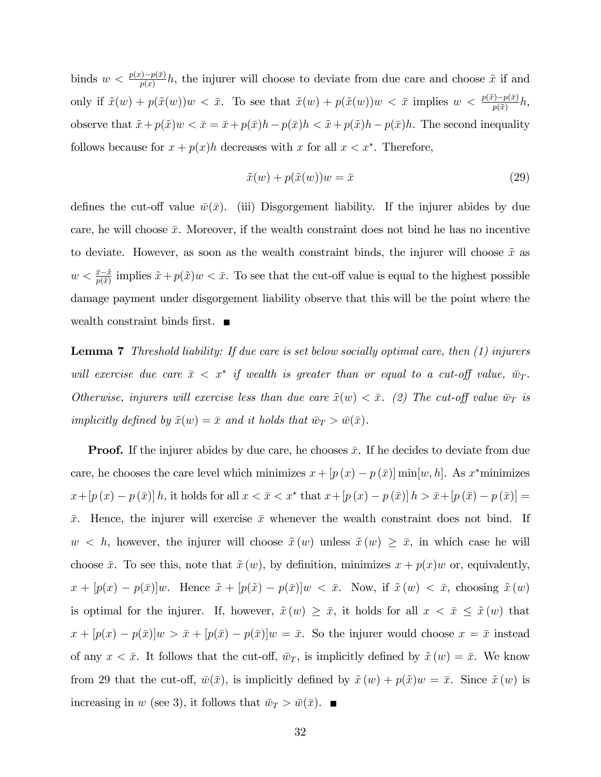binds  $w < \frac{p(x)-p(\bar{x})}{p(x)}h$ , the injurer will choose to deviate from due care and choose  $\tilde{x}$  if and only if  $\tilde{x}(w) + p(\tilde{x}(w))w < \bar{x}$ . To see that  $\tilde{x}(w) + p(\tilde{x}(w))w < \bar{x}$  implies  $w < \frac{p(\tilde{x}) - p(\bar{x})}{p(\tilde{x})}h$ , observe that  $\tilde{x} + p(\tilde{x})w < \bar{x} = \bar{x} + p(\bar{x})h - p(\bar{x})h < \tilde{x} + p(\tilde{x})h - p(\bar{x})h$ . The second inequality follows because for  $x + p(x)h$  decreases with x for all  $x < x^*$ . Therefore,

$$
\tilde{x}(w) + p(\tilde{x}(w))w = \bar{x} \tag{29}
$$

defines the cut-off value  $\bar{w}(\bar{x})$ . (iii) Disgorgement liability. If the injurer abides by due care, he will choose  $\bar{x}$ . Moreover, if the wealth constraint does not bind he has no incentive to deviate. However, as soon as the wealth constraint binds, the injurer will choose  $\tilde{x}$  as  $w < \frac{\bar{x}-\tilde{x}}{p(\tilde{x})}$  implies  $\tilde{x}+p(\tilde{x})w < \bar{x}$ . To see that the cut-off value is equal to the highest possible damage payment under disgorgement liability observe that this will be the point where the wealth constraint binds first.  $\blacksquare$ 

**Lemma 7** Threshold liability: If due care is set below socially optimal care, then  $(1)$  injurers will exercise due care  $\bar{x} < x^*$  if wealth is greater than or equal to a cut-off value,  $\bar{w}_T$ . Otherwise, injurers will exercise less than due care  $\tilde{x}(w) < \bar{x}$ . (2) The cut-off value  $\bar{w}_T$  is implicitly defined by  $\tilde{x}(w) = \bar{x}$  and it holds that  $\bar{w}_T > \bar{w}(\bar{x})$ .

**Proof.** If the injurer abides by due care, he chooses  $\bar{x}$ . If he decides to deviate from due care, he chooses the care level which minimizes  $x + [p(x) - p(\bar{x})] \min[w, h]$ . As  $x^*$  minimizes  $x + [p(x) - p(\bar{x})] h$ , it holds for all  $x < \bar{x} < x^*$  that  $x + [p(x) - p(\bar{x})] h > \bar{x} + [p(\bar{x}) - p(\bar{x})] =$  $\bar{x}$ . Hence, the injurer will exercise  $\bar{x}$  whenever the wealth constraint does not bind. If  $w < h$ , however, the injurer will choose  $\tilde{x}(w)$  unless  $\tilde{x}(w) \geq \bar{x}$ , in which case he will choose  $\bar{x}$ . To see this, note that  $\tilde{x} (w)$ , by definition, minimizes  $x + p(x)w$  or, equivalently,  $x + [p(x) - p(\bar{x})]w$ . Hence  $\tilde{x} + [p(\tilde{x}) - p(\bar{x})]w < \bar{x}$ . Now, if  $\tilde{x}(w) < \bar{x}$ , choosing  $\tilde{x}(w)$ is optimal for the injurer. If, however,  $\tilde{x}(w) \geq \bar{x}$ , it holds for all  $x < \bar{x} \leq \tilde{x}(w)$  that  $x + [p(x) - p(\bar{x})]w > \bar{x} + [p(\bar{x}) - p(\bar{x})]w = \bar{x}$ . So the injurer would choose  $x = \bar{x}$  instead of any  $x < \bar{x}$ . It follows that the cut-off,  $\bar{w}_T$ , is implicitly defined by  $\tilde{x}(w) = \bar{x}$ . We know from 29 that the cut-off,  $\bar{w}(\bar{x})$ , is implicitly defined by  $\tilde{x}(w) + p(\tilde{x})w = \bar{x}$ . Since  $\tilde{x}(w)$  is increasing in w (see 3), it follows that  $\bar{w}_T > \bar{w}(\bar{x})$ .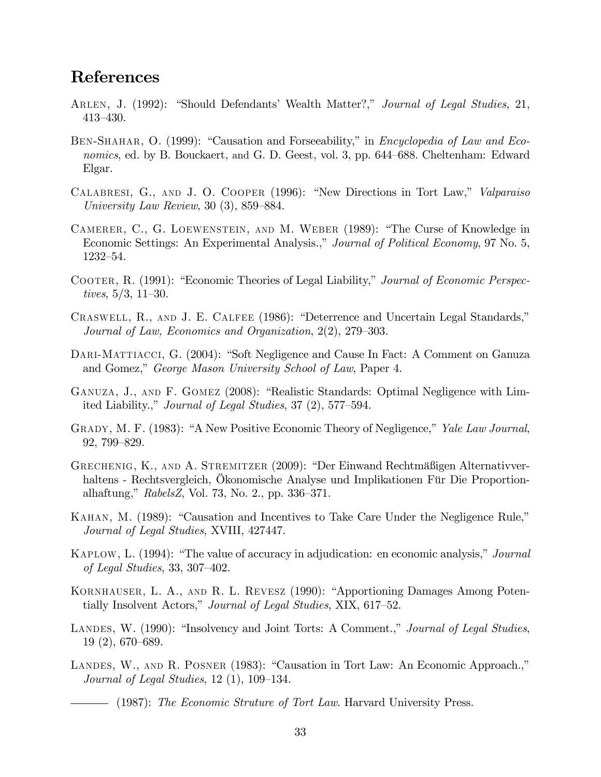# References

- ARLEN, J. (1992): "Should Defendants' Wealth Matter?," Journal of Legal Studies, 21, 413–430.
- BEN-SHAHAR, O. (1999): "Causation and Forseeability," in *Encyclopedia of Law and Eco*nomics, ed. by B. Bouckaert, and G. D. Geest, vol. 3, pp. 644–688. Cheltenham: Edward Elgar.
- CALABRESI, G., AND J. O. COOPER (1996): "New Directions in Tort Law," Valparaiso University Law Review, 30  $(3)$ , 859–884.
- CAMERER, C., G. LOEWENSTEIN, AND M. WEBER  $(1989)$ : "The Curse of Knowledge in Economic Settings: An Experimental Analysis.," Journal of Political Economy, 97 No. 5, 1232-54.
- COOTER, R. (1991): "Economic Theories of Legal Liability," Journal of Economic Perspectives,  $5/3$ , 11–30.
- CRASWELL, R., AND J. E. CALFEE (1986): "Deterrence and Uncertain Legal Standards," Journal of Law, Economics and Organization,  $2(2)$ ,  $279-303$ .
- DARI-MATTIACCI, G. (2004): "Soft Negligence and Cause In Fact: A Comment on Ganuza and Gomez," George Mason University School of Law, Paper 4.
- GANUZA, J., AND F. GOMEZ (2008): "Realistic Standards: Optimal Negligence with Limited Liability.," Journal of Legal Studies,  $37(2)$ ,  $577-594$ .
- GRADY, M. F. (1983): "A New Positive Economic Theory of Negligence," Yale Law Journal, 92, 799–829.
- GRECHENIG, K., AND A. STREMITZER (2009): "Der Einwand Rechtmäßigen Alternativverhaltens - Rechtsvergleich, Okonomische Analyse und Implikationen Für Die Proportionalhaftung,"  $RabelsZ$ , Vol. 73, No. 2., pp. 336–371.
- KAHAN, M. (1989): "Causation and Incentives to Take Care Under the Negligence Rule," Journal of Legal Studies, XVIII, 427447.
- KAPLOW, L. (1994): "The value of accuracy in adjudication: en economic analysis," *Journal* of Legal Studies, 33, 307–402.
- KORNHAUSER, L. A., AND R. L. REVESZ (1990): "Apportioning Damages Among Potentially Insolvent Actors," Journal of Legal Studies, XIX, 617–52.
- LANDES, W. (1990): "Insolvency and Joint Torts: A Comment.," Journal of Legal Studies,  $19(2), 670-689.$
- LANDES, W., AND R. POSNER (1983): "Causation in Tort Law: An Economic Approach.," Journal of Legal Studies,  $12$  (1),  $109-134$ .

- (1987): The Economic Struture of Tort Law. Harvard University Press.